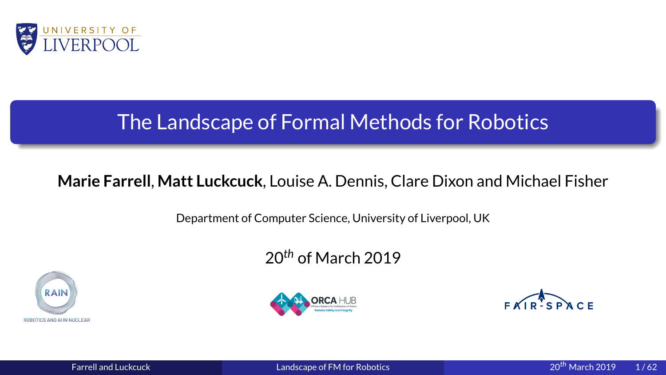<span id="page-0-0"></span>

## Figure 11. Matt Luckcuck, Louise A. Dennis, Clare Dixon and Michard Department of Computer Science, University of Liverpool, UK<br>20<sup>th</sup> of March 2019 **Marie Farrell, Matt Luckcuck**, Louise A. Dennis, Clare Dixon and Michael Fisher<br>
Department of Computer Science, University of Liverpool, UK<br>
20<sup>th</sup> of March 2019<br>
RAIR: SPACE





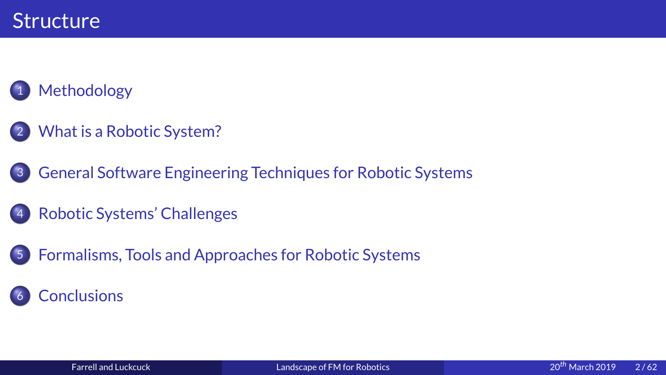## 1 Methodo<br>2 What is a<br>3 General 9

- 2<br>3<br>3 ی<br>What is a Rob<br>General Softv<br>Robotic Syste
- 
- $\begin{array}{c} \hline 3 \\ 4 \end{array}$ General Software Enginee<br>Robotic Systems' Challeng<br>Formalisms, Tools and App  $\frac{4}{5}$  $\overline{4}$
- Robotic Systems' Challenges<br>Formalisms, Tools and Approaches for Robotic Systems<br>Conclusions Rormalisms, Tools and Approaches for Robotic Systems<br>Conclusions  $5^{\circ}$

### 5<br>6<br>6 5 Formalisms<br>Formalisms<br>Farrell and Luckcuck Landscape of FM for Robotics 6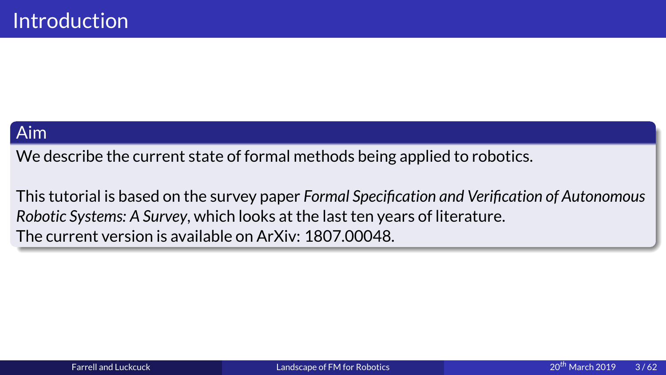Aim<br>We describe the<br>This tutorial is b

We describe the current state of formal methods being applied to robotics.<br>This tutorial is based on the survey paper Formal Specification and Verification<br>Robotic Systems: A Survey, which looks at the last ten years of li This tutorial is based on the survey paper *Formal Specification and Verification of Autonomous*<br>Robotic Systems: A Survey, which looks at the last ten years of literature.<br>The current version is available on ArXiv: 1807.0 *Robotic Systems: A Survey*ailable on ArXiv: 1807.00048.<br>At the literature.<br>At the literature. The current version is available on Arxiv: 1807.<br>The current version is available of Arxiv: 1807.<br>The current version of Arxiv: 1807.<br>The current version of Arxiv: 1807.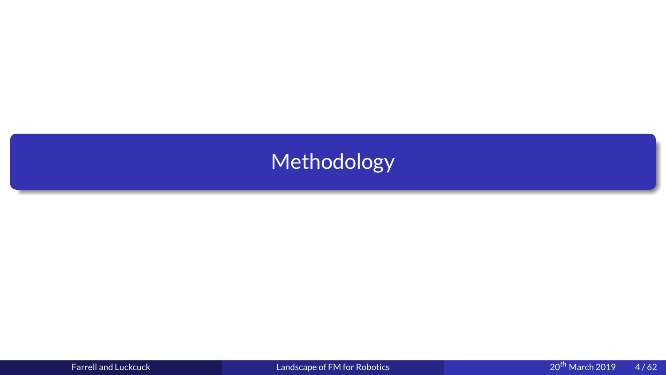# Methodology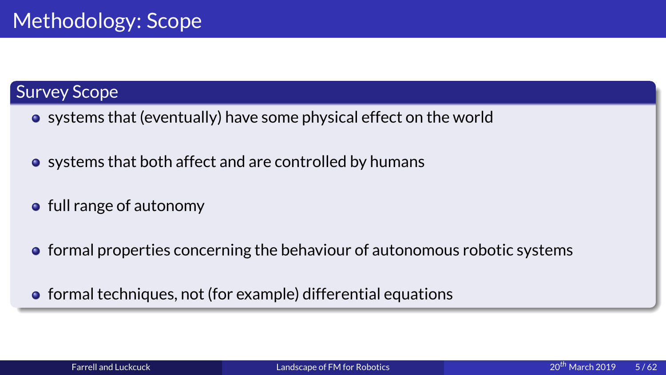- 
- Survey Scope<br>
 systems that (eventua<br>
 systems that both affe systems that both affect and are controlled by humans<br>full range of autonomy<br>formal properties concerning the behaviour of autonomous robo
- systems the systems the systems of the systems of the system of the system of the system of the system of the system of the system of the system of the system of the system of the system of the system of the system of th
	- skill range of autonomy<br>formal properties concerning the behaviour of autonomy<br>formal techniques, not (for example) differential equat formal properties cond<br>formal techniques, not
	- formal techniques, not (for example) differential equations<br>Farrell and Luckcuck Landscape of FM for Robotics 20<sup>th</sup> N formal techniques, not (for example) differential example) differential equations of  $\blacksquare$ <br>Farrell and Luckcuck and differential equations of  $\blacksquare$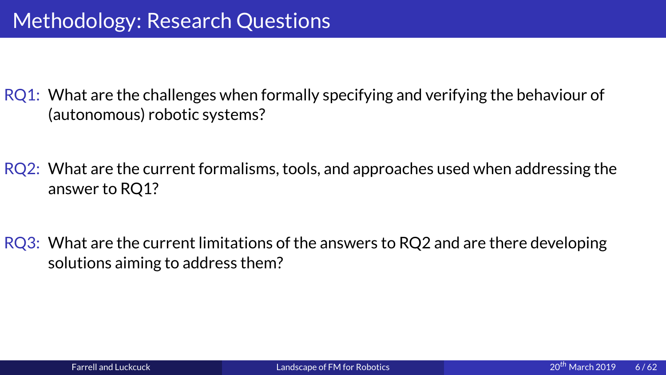Methodology: What are the challenges when formally s<br>(autonomous) robotic systems?<br>Next are the current formalisms, tools, a<br>answer to RQ1?

(autonomous) robotic systems?<br>RQ2: What are the current formalisms, tools, and approaches used when addressing the answer to RO1? (automous)<br>(automous) What are the current formalism<br>(automous) What are the current limitation

answer to RQ1?<br>RQ3: What are the current limitations of the answers to RQ2 and are there developing<br>solutions aiming to address them? **What are the cu**<br>solutions aiming<br>and a solutions aiming Solutions aiming to address them?<br>
Rarrell and Luckcuck Landscape of FM for Robotics  $20^{th}$  March 20<br>
Rarrell and Luckcuck Landscape of FM for Robotics  $20^{th}$  March 20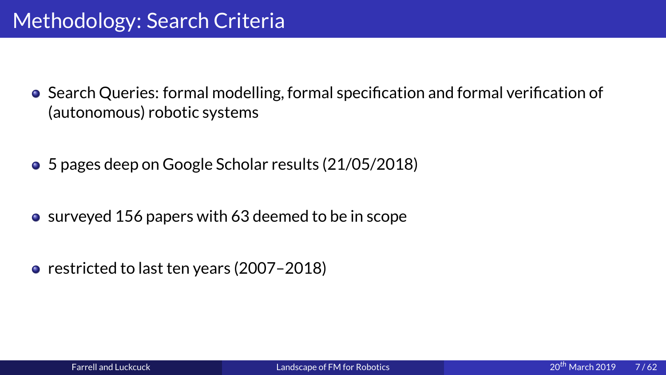- Search Queries: formal modelling,<br>(autonomous) robotic systems<br>3 Depages deep on Google Scholar re Search Queries: formal modelling, formal specification and formal verification of<br>(autonomous) robotic systems<br>5 pages deep on Google Scholar results (21/05/2018)<br>surveyed 156 papers with 63 deemed to be in scope
	- $\bullet$  5 pages deep on Google Scholar results (21/05/2018)
	- 9 surveyed 156 papers with 63 deemed to be in scope<br>• restricted to last ten years (2007–2018)
	- restricted to last ten years (2007–2018) restricted to the year of the year of the year of the year of the year of the year of the year of the year of the year of the year of the year of the year of the year of the year of the year of the year of the year of the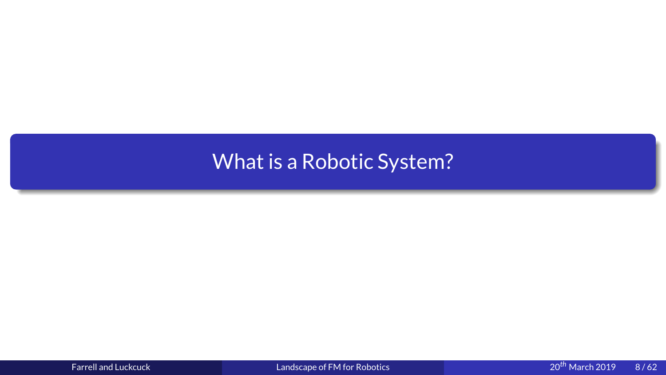# What is a Robotic System?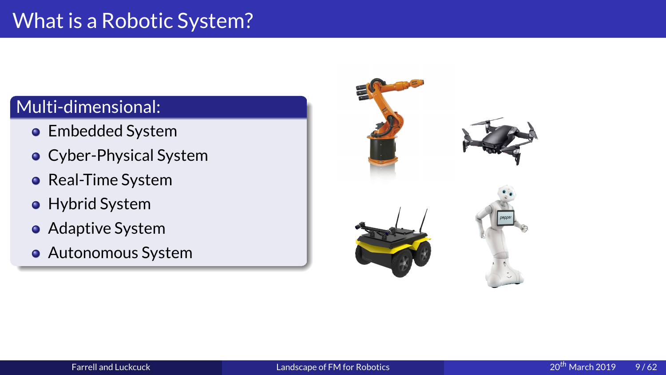- Embedded Syste<br>• Cyber-Physical!<br>• Real-Time Syste<br>• Hybrid System<br>• Adaptive System<br>• Autonomous System
- Multi-dimensional:<br>
 Embedded System<br>
 Cyber-Physical System<br>
 Real-Time System Cyber-Physical Sys<br>Real-Time System<br>Hybrid System<br>Adaptive System<br>Autonomous Syste
	-
	-
	- Adaptive Syste<br>Adaptive Syste<br>Autonomous S
	- ,<br>Real-Time System<br>Hybrid System<br>Adaptive System<br>Autonomous System Hybrid System<br>Adaptive System<br>Autonomous Syst Autonomous Sys

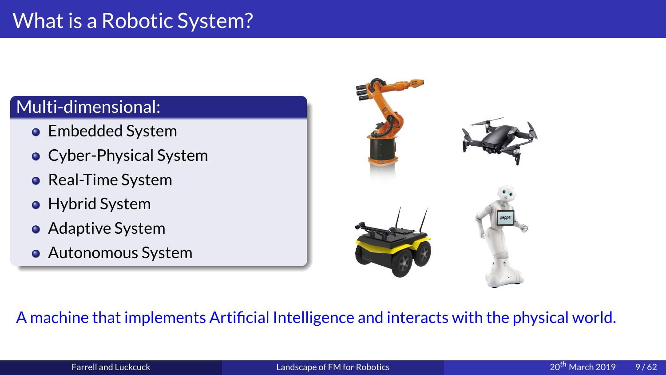- Embedded Syste<br>• Cyber-Physical!<br>• Real-Time Syste<br>• Hybrid System<br>• Adaptive System<br>• Autonomous System
- Multi-dimensional:<br>
 Embedded System<br>
 Cyber-Physical System<br>
 Real-Time System • Cyber-Physical System<br>• Real-Time System<br>• Hybrid System<br>• Adaptive System
	-
	-
	- Adaptive Syste<br>Autonomous S<br>achine that imp
	- ,<br>Real-Time System<br>Hybrid System<br>Adaptive System<br>Autonomous System Hybrid System<br>Adaptive System<br>Autonomous System<br>Alime Martin Li



### Autonomous System<br>achine that implements A machine that implements Artificial Intelligence and interacts with the physical world.<br>Earrell and Luckcuck Language of EM for Robotics Farrell and Luckcuck 2019 A machine that implements Artificial Intelligence and interacts with the physical world.<br>Farrell and Luckcuck Landscape of FM for Robotics  $20^{th}$  March 2019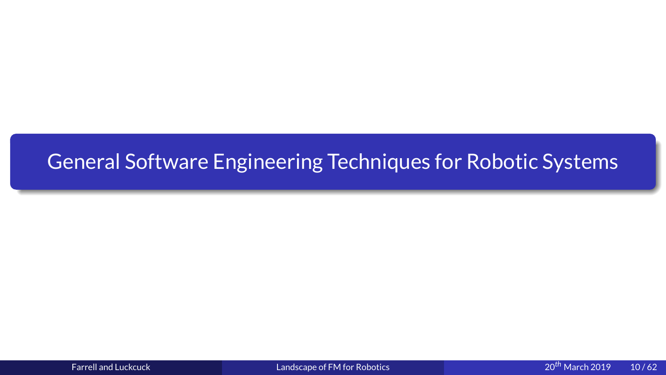# <span id="page-10-0"></span>General Software Engineering Techniques for Robotic Systems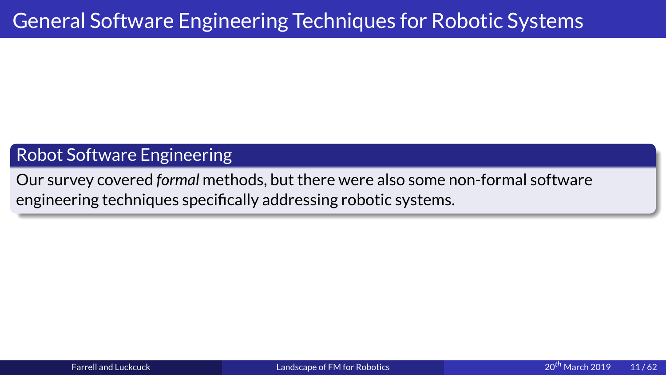Robot Software Engineering<br>
Our survey covered formal methods, but there were also some non-formal software<br>
angineering techniques aposifiedly addressing rebatio systems Our survey covered *formal* methods, but there were also some non-formal software<br>engineering techniques specifically addressing robotic systems.<br>Notice systems. engineering techniques specifically addressing robotic systems.<br>
And the systems of the systems of the system of the system of the system of the system of the system of the system of the system of the system of the system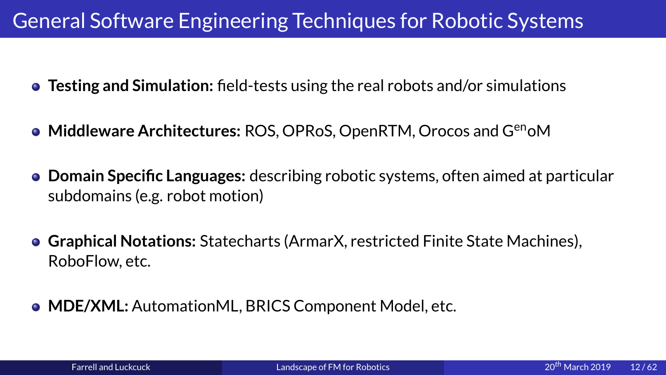- 
- **Middleware Architectures: ROS, OPRoS, OpenRTM, Orocos and G<sup>en</sup>oM**
- **Testing and Simulation:** field-tests using the real robots and/or simulations<br>
 Middleware Architectures: ROS, OPRoS, OpenRTM, Orocos and G<sup>en</sup>oM<br>
 Domain Specific Languages: describing robotic systems, often aimed at **Testing and Simulation:** field-tests using the real robots and/or simulations<br>Middleware Architectures: ROS, OPRoS, OpenRTM, Orocos and G<sup>en</sup>oM<br>Domain Specific Languages: describing robotic systems, often aimed at par<br>sub Rosporting robotic systems, often aimed at poor and all poor and all poor and all poor and the Machi<br>Antes (ArmarX, restricted Finite State Machi **Domain Specific Languages:**
	- n)<br>harts (ArmarX, restricted Finite State Machines),<br>BRICS Component Model, etc. Graphical Notations: Statechal<br>RoboFlow, etc.<br>MDE/XML: AutomationML, BR **Graphical Notations:** STATECHART COMPONENT MODEL, ETC.<br>STATECHART COMPONENT MODEL, ETC.<br>Randscape of FM for Robotics and a control of PM for Robotics
	- $\begin{array}{c}\n\mathsf{MDE/XML:} \ \mathsf{A}\n\end{array}$ Farrell and Luckcuck **MDE/XML:** Autor: The Matter Media of EM for Robotics<br>Autor: The Matter Media of EM for Robotics<br>Autor: The Matter Media of EM for Robotics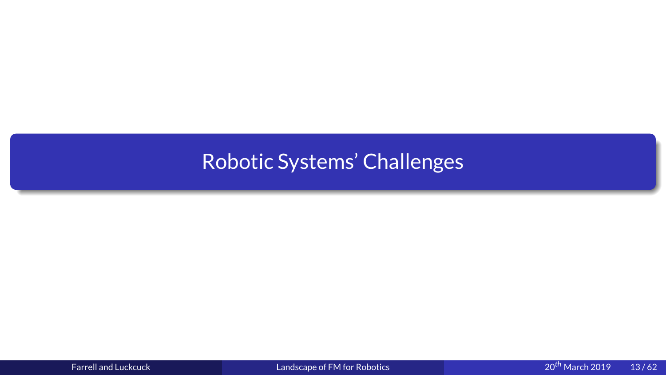# <span id="page-13-0"></span>Robotic Systems' Challenges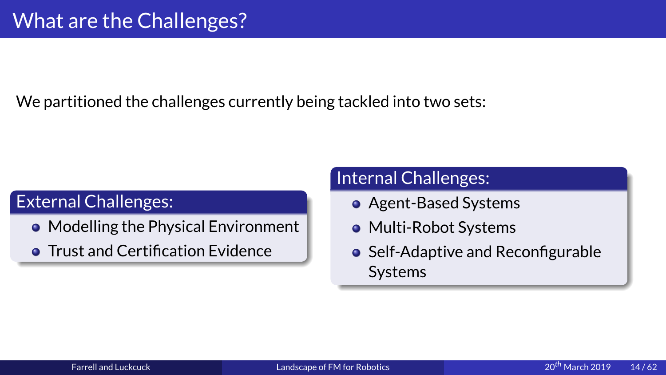We partitioned the challenges curve<br> $\sum_{n=1}^{\infty}$ 

- External Challenges:<br>
External Challenges:<br>
 Modelling the Physical Environment<br>
 Multi-Robot Syst
- Modelling the Phy<br>• Trust and Certifica Trust and Certification Evidence Trust and Certification Evidence<br>Farrell and Luckcuck

- 
- 
- Agent-Based Syst<br>• Multi-Robot Syst<br>• Self-Adaptive and<br>Systems Multi-Robot Systems<br>Self-Adaptive and Rec<br>Systems Self-Adaptive and Res<br>Systems<br>Alternative Systems [Self](#page-0-0)-Adaptive and Reconfigurable<br>Systems<br>botics and the configurable<br>potics and the co<sup>th</sup> March 20 systems<br>botics<br>systems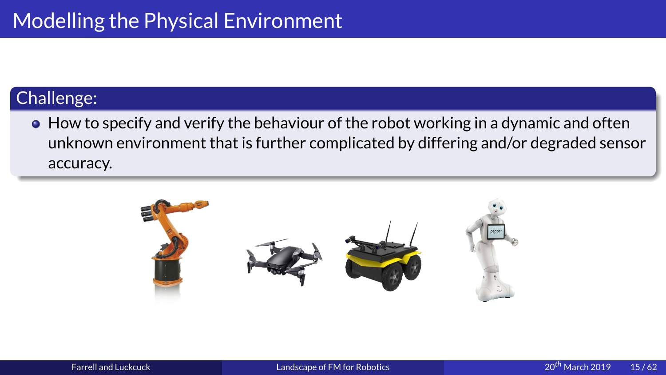Challenge:<br>
• How to specify and verify the behaviour of<br>
unknown environment that is further comp<br>
accuracy. • How to unknow<br>accuracy • How to specify and verify the behaviour of the robot working in a dynamic and often unknown environment that is further complicated by differing and/or degraded sensor accuracy. accuracy.

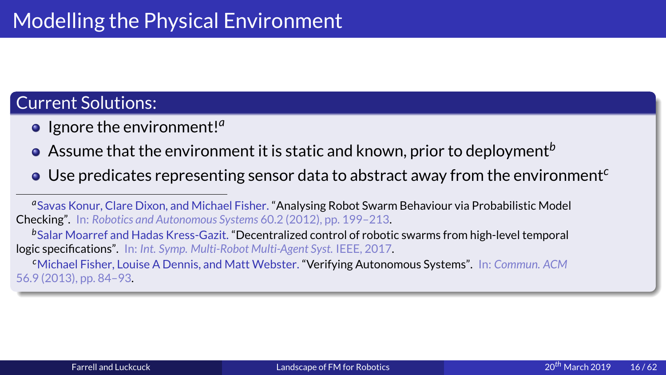- 
- 
- Current Solutions:<br>
 Ignore the environment!<sup>*a*</sup><br>
 Assume that the environment it is static an<br>
 Use predicates representing sensor data to

**e** Ignore the environment!<sup>*a*</sup><br> **Current Solution**<br> **Current Solutions:**<br> **Current Solutions:**<br>
Checking". In: Robotics and Autonomous S<br>
<sup>b</sup>Salar Moarref and Hadas Kress-Gazit<br>
logic specifications". In: Int. Symp. Mult O Use predicates representing sensor data to abstract away from the environment<sup>c</sup><br>
<sup>*a*</sup>Savas Konur, Clare Dixon, and Michael Fisher. "Analysing Robot Swarm Behaviour via Probabilistic Model<br>
Checking". In: *Robotics and* a Savas Konur, Clare Dixon, and Michael Fisher. "Analysing Robot Swarm Behaviour via Probabilistic Model

*b*logic specifications". In: *Int. Symp. Multi-Robot Multi-Agent Syst.* IEEE, 2017.

Assume that the environment it is static and known, prior to deployment<sup>b</sup><br>Use predicates representing sensor data to abstract away from the enviro<br>was Konur, Clare Dixon, and Michael Fisher. "Analysing Robot Swarm Behavio Savas Konur, Clare Dixon, 2021, pp. 199–213.<br>
Salar Moarref and Hadas Kress-Gazit. "Decentralized control of robotic swarms from high-level temporal<br>
logic specifications". In: *Int. Symp. Multi-Robot Multi-Agent Syst.* IE Constitution Michael Fisher, Louise A Dennis, and Matt Webster. "Verifying Autonomous Systems". In: Commun. ACM (2013), pp. 84–93.<br>(2013), pp. 84–93.<br>(2013), pp. 84–93. *c*Michael Fisher, Louise A Dennis, and Matt Webster. "Verifying Autonomous Systems". In: *Commun. ACM*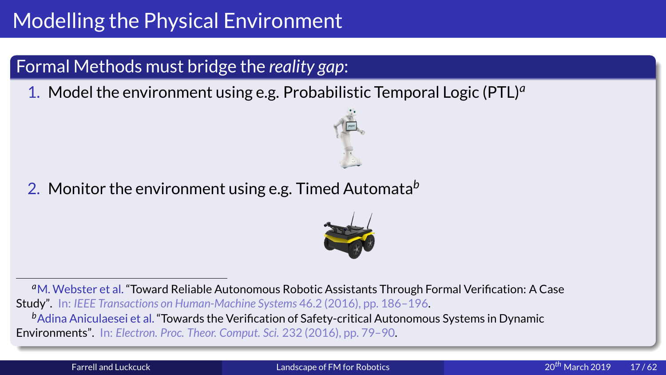## Formal Methods must bridge the *reality gap*<br>1. Model the environment using e.g. Probabil<br>2. Monitor the environment using e.g. Timed Formal Methods must bridge the *reality gap*:<br>1. Model the environment using e.g. Probabili<br>2. Monitor the environment using e.g. Timed A

1. Model the environment using e.g. Probabilistic Temporal Logic (PTL)<sup>*a*</sup><br>2. Monitor the environment using e.g. Timed Automata<sup>b</sup>

2. Monitor the environment using e.g. Timed Automata*<sup>b</sup>*



<sup>a</sup>M. Webster et al. "Toward Reliable Autonomous Robotic Assistants Through Formal Verification: A Case M. Webster et al. "Toward Reliable Autonomous Robotic Assistants Through Formal Verification: A Case<br>
y". In: *IEEE Transactions on Human-Machine Systems* 46.2 (2016), pp. 186–196.<br>
Adina Aniculaesei et al. "Towards the Ve Study". In: *IEEE Transactions on Human-Machine Systems* 46.2 (2016), pp. 186–196.<br>
<sup>b</sup>Adina Aniculaesei et al. "Towards the Verification of Safety-critical Autonomou<br> **Environments**". In: *Electron. Proc. Theor. Comput. S b*Adina Aniculaesei et al. "Towards the Verification of Safety-critical Autonomous Systems in Dynamic<br>ironments". In: Electron. Proc. Theor. Comput. Sci. 232 (2016), pp. 79–90.<br>Farrell and Luckcuck Landscape of FM for Roboti Environments". In: *Electron. Proc. Theor. Comput. Sci.* 232 (2016), pp. 79–90.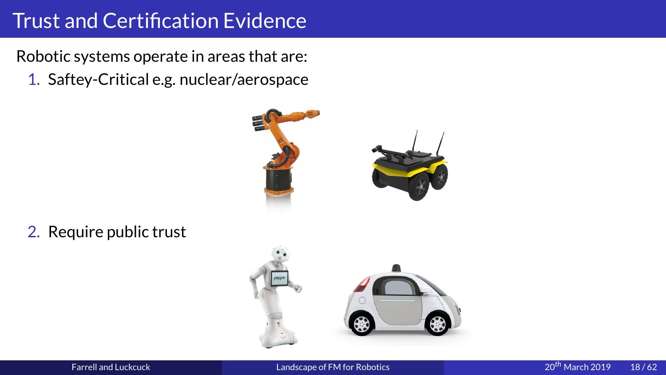Trust and Certification Evidence<br>Robotic systems operate in areas that are:<br>1. Saftey-Critical e.g. nuclear/aerospace

1. Saftey-Critical e.g. nuclear/aerospace



 $\mathcal{L}$  require public trust trust trust trust trust trust trust trust trust trust trust trust trust trust trust trust trust trust trust trust trust trust trust trust trust trust trust trust trust trust trust trust trust

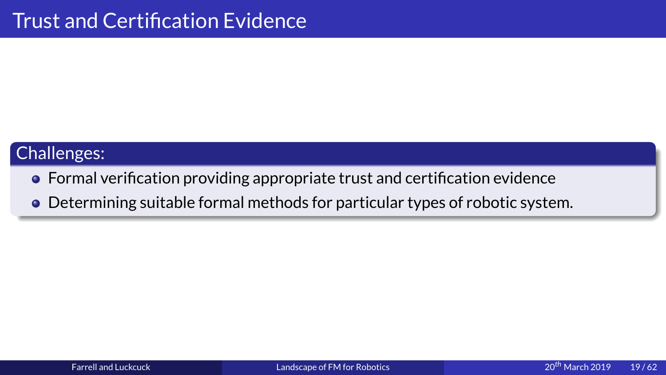- Challenges:<br>• Formal verification providing appropriate trust and certification evidence
	- $\bullet$  Determining suitable formal methods for particular types of robotic system. Determining suitable formal methods for particular types of robotic system.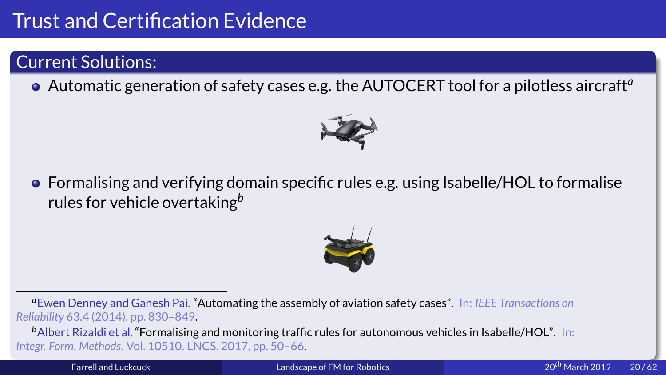

Trust and Certification Evidence<br>
Current Solutions:<br>
• Automatic generation of safety cases<br>
• Formalising and verifying domain spe • Automatic gene<br>
• Formalising and<br>
rules for vehicle Automatic generation of safety cases e.g. the AUTOCERT tool for a pilotless aircraft<sup>a</sup><br>
<br> **• Formalising and verifying domain specific rules e.g. using Isabelle/HOL to formalise<br>
rules for vehicle overtaking<sup>b</sup>** Formalising and verifying domain specific rules e.g. using Isabelle/HOL to formalise<br>rules for vehicle overtaking<sup>b</sup><br>wen Denney and Ganesh Pai. "Automating the assembly of aviation safety cases". In: IEEE Transactions on<br>W



rules for vehicle overtaking<sup>b</sup><br>ven Denney and Ganesh Pai. "Automat<br>*lity 63.4 (2014), pp. 830–849.*<br>bert Rizaldi et al. "Formalising and mon **a** Ewen Denney and Ganesh Pai. "Automating the assembly of aviation safety cases". In: IEEE Transactions on *Reliability*

Ewen Denney and Ganesh Pai. "Automating the assembly of aviation safety cases". In: *IEEE Transactions on*<br>
ability 63.4 (2014), pp. 830–849.<br>
Albert Rizaldi et al. "Formalising and monitoring traffic rules for autonomous **Example 1 (B)**<br>BAlbert Rizaldi et al. **"Formalising**<br>Farrell and Luckcuck Albert Rizaldi et al. **"Formalising and monitoring traffic rules for autonomous vehicles in Isabelle/HOL".** In:<br>37. Form. Methods. Vol. 10510. LNCS. 2017, pp. 50–66.<br>140<sup>th</sup> Mandscape of FM for Robotics *Integr. Form. Methods*en de la partie de la partie de la papare de la partie de la partie de la partie de la partie de la partie de<br>Landsca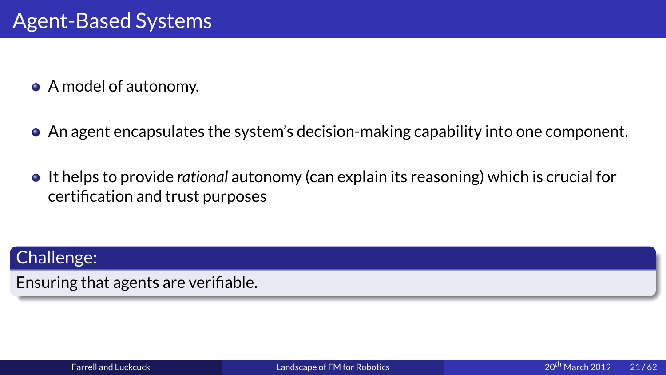- 
- 
- A model of autonomy.<br>• An agent encapsulates t<br>• It helps to provide ration<br>certification and trust n <ul>\n<li>• An agent encapsulates the system's decision-making capability into one component.</li>\n<li>• It helps to provide <i>rational</i> automomy (can explain its reasoning) which is crucial for certification and trust purposes</li>\n</ul> • It helps to provide *rational* autonomy (can explain its reasoning) which is crucial for certification and trust purposes<br>Challenge: It helps to provide *rational* autonomy (can explain its reasoning) which is crucial for<br>certification and trust purposes<br>llenge:<br>ring that agents are verifiable.

certification and trust purposes<br>|<br>|<br>|<br>|<br>|ring that agents are verifiable. Ensuring that agents are verifiable.<br>Experience of the control and Luckcuck<br>Earrell and Luckcuck Ensuring that agents are verifiable.<br>Farrell and Luckcuck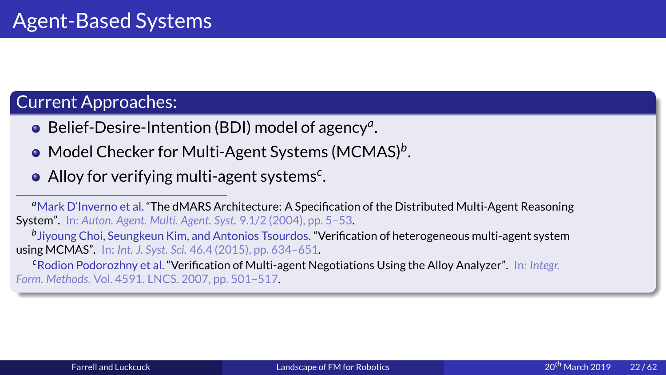- 
- Current Approaches:<br>
 Belief-Desire-Intention<br>
 Model Checker for Mult<br>
 Alloy for verifying multi
	-

• Belief-Desire-Intention (BDI) model of agency<sup>*a*</sup><br>• Model Checker for Multi-Agent Systems (MCM<br>• Alloy for verifying multi-agent systems<sup>c</sup>.<br><sup>«</sup>Mark D'Inverno et al. "The dMARS Architecture: A Specification of System". |<br>|<br>| Model Checker for Multi-Agent Systems (MCMAS)<sup>*b*</sup><br>Alloy for verifying multi-agent systems<sup>c</sup>.<br>The proper set al. "The dMARS Architecture: A Specification of the Din". In: Auton. Agent. Multi. Agent. Syst. 9.1/2 (2004), pp s<br>ti Alloy for verifying multi-agent systems<sup>c</sup><br>ark D'Inverno et al. "The dMARS Architecture: A Speci<br>n". In: Auton. Agent. Multi. Agent. Syst. 9.1/2 (2004), pp.<br>young Choi, Seungkeun Kim, and Antonios Tsourdos. "N<br>MCMAS". In: f<br>./<br>... <sup>a</sup> Mark D'Inverno et al. "The dMARS Architecture: A Specification of the Distributed Multi-Agent Reasoning

<sup>a</sup>Mark D'Inverno et al. "The dMARS Architecture: A Specification of the Distributed Multi-Agent Reasoning<br>System". In: *Auton. Agent. Multi. Agent. Syst.* 9.1/2 (2004), pp. 5–53.<br><sup>b</sup>Jiyoung Choi, Seungkeun Kim, and Antoni *b*

<sup>b</sup>Jiyoung Choi, Seungkeun Kim, and Antonios Tsourdos. "Verification of heterogeneous multi-agent system<br>using MCMAS". In: *Int. J. Syst. Sci.* 46.4 (2015), pp. 634–651.<br><sup>c</sup>Rodion Podorozhny et al. "Verification of Multi-a *c*Rodion Podorozhny et al. "Verification of Multi[-agent Negotiations Usi](#page-0-0)ng the Alloy Analyzer". In: *Integr. Form. Methods*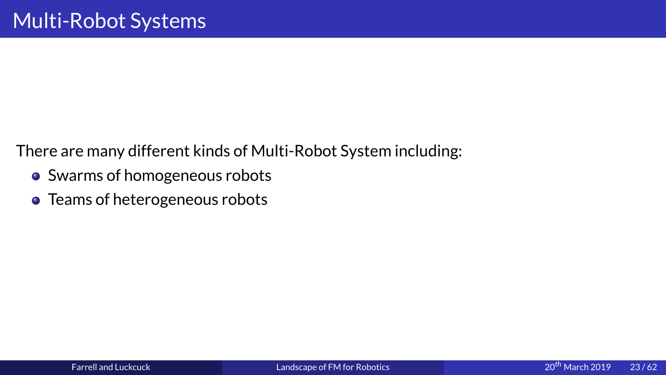There are many different ki

- Swarms of homogeneous robots<br>• Teams of heterogeneous robots<br>• System including: The Multi-Robots • Swarms of homogeneous robots<br>• Teams of heterogeneous robots
	- Teams of heterogeneous robots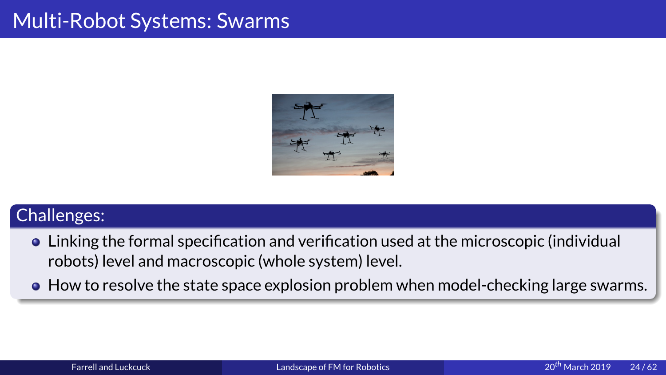

- Linking<br>robots)<br>• How to Linking the formal specification [and veri](#page-0-0)fi[cation us](#page-0-0)ed at the microscopic (individual<br>robots) level and macroscopic (whole system) level.<br>How to resolve the state space explosion problem when model-checking large sware<br>Far
	- From the state space explosion problem who resolve the state space explosion problem whole system and tuckcuck How to resolve the state space of the state space explosion problem when model-checking large space of the state space of FM for Robotics and the state space of FM for Robotics and the state space of FM for Robotics and th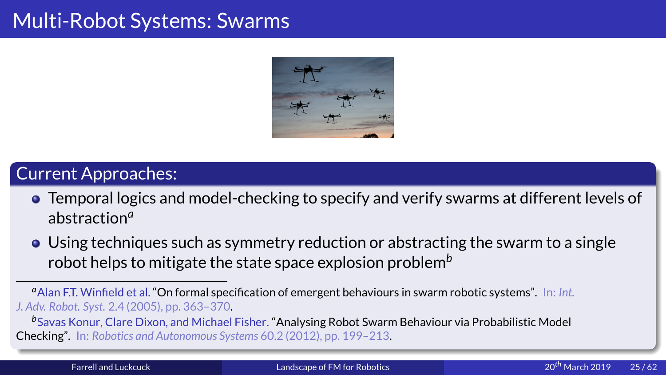

## Multi-Robot<br>Current Approaches:<br>A Temperal logics and model-checking

- **Temporal logics and model-checking to specify and verify swarms at different levels of abstraction<sup>a</sup><br>• Using techniques such as symmetry reduction or abstracting the swarm to a single**
- Temporal logics and<br>abstraction<sup>a</sup><br>• Using techniques s<br>robot helps to miti<br> $\frac{a_{\text{Alan F.T. Winfield et al.}}}{b_{\text{Sub. Robel. Syst. 2.4 (2005), pp}}$ **abstraction<sup>***a***</sup><br>Using techni<br>robot helps 1<br>an F.T. Winfield e<br>Robot. Syst. 2.4 (2<br>iwas Konur, Clare<br>ing". In: Robotics**
- **The Tana Strate space State space explosion problem**<br> **EXECUTE AS SET ASSET AS SUCK SYST.** 2.4 (2005), pp. 363–370.<br> **EXECUTE AS Syst.** 2.4 (2005), pp. 363–370.<br> **EXECUTE AS Systems Solider State Space of FM** and Nichael robot helps to mitigate the state space explosion problem<sup>b</sup><br>an F.T. Winfield et al. "On formal specification of emergent behaviours in swarm in<br>*Robot. Syst.* 2.4 (2005), pp. 363–370.<br>was Konur, Clare Dixon, and Michael F <sup>a</sup> Alan F.T. Winfield et al. "On formal specification of emergent behaviours in swarm robotic systems". In: Int. Alan F.T. Winfield et al. **"On formal specification of emergent behaviours in swarm robotic systems".** In: *Int.*<br>
W. Robot. Syst. 2.4 (2005), pp. 363–370.<br>
Savas Konur, Clare Dixon, and Michael Fisher. **"Analysing Robot S** *J. Adv. Robot. Syst.*

**Example 12.4 (2006)**, pp. 363–485. In: Robotics and Autonomous Systems". In: Robotics and Autonomous Systems Farrell and Luckcuck **Cking".** In: Robotics and Autonomous Systems 60.2 (2012), pp. 199–213.<br>
Farrell and Luckcuck **Example Robot Swarm Behaviour via Prop**ability Robotics 20<sup>th</sup> M Checking". In: *Robotics and Autonomous Systems* 60.2 (2012), pp. 199–213.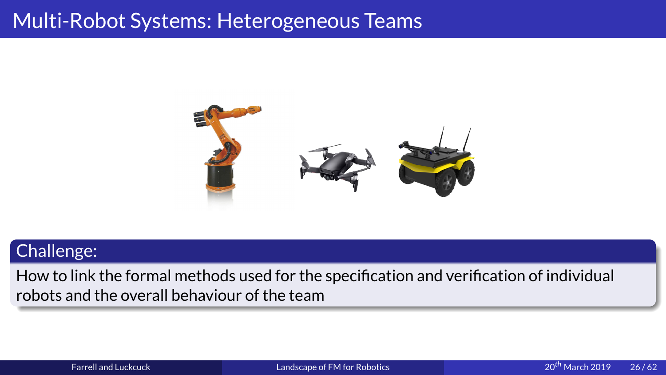

Challenge:<br>
How to link the formal methods used for the specification and verification of individual<br>
robots and the overall behaviour of the team<br>
Farrell and Luckcuck<br>
Landscape of FM for Robotics<br>
Landscape of FM for R How to link the formal methods used for the specification and verification of individual<br>robots and the overall behaviour of the team<br>Farrell and Luckcuck Landscape of FM for Robotics 20<sup>th</sup> March 2019 robots and the overall behaviour of the team of the team of the team of the team of the team of the team of the<br>Farrell and Luckcuck and the team of the team of the team of the team of the team of the team of the team of t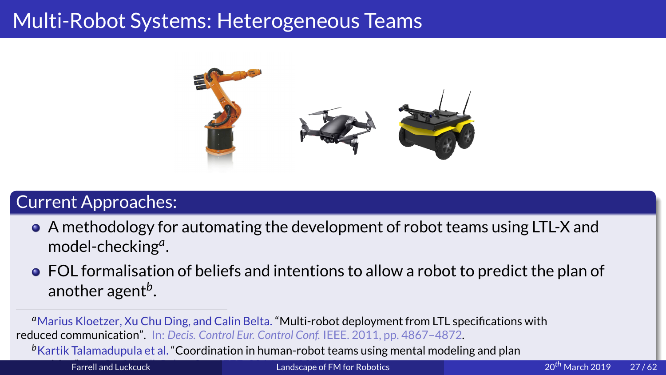

- A methodology for<br>
model-checking<sup>a</sup>.<br>
 FOL formalisation<br>
another agent<sup>b</sup>.<br>
 Marius Kloetzer, Xu Chu Direduced communication<sup>7</sup>. In: Definition of the state of the state of the state of the state of the state of the
	- <ul>\n<li>▶ A methodology for automating the development of robot teams using LTL-X and model-checking<sup>a</sup>.</li>\n<li>▶ FOL formalisation of beliefs and intentions to allow a robot to predict the plan of another agent<sup>b</sup>.</li>\n<li><sup>a</sup> Marius Kloetzer, Xu Chu Ding, and Calin Belta. "Multi-robot deployment from LTL specifications with duced communication". In: Decis. Control Eur. Control Conf. IEEE. 2011, pp. 4867–4872.</li>\n<li><sup>b</sup>Kartik Talamadupula et al. "Coordinate and luckuck</li>\n<li>■ Landscape of FM for Robotics</li>\n<li>120<sup>th</sup> March 2019</li>\n</ul> model-checking<sup>a</sup><br>FOL formalisatio<br>another agent<sup>b</sup>.<br>arius Kloetzer, Xu Chu<br>ad communication". In:<br>artik Talamadupula et al<br>Farrell and Luckcuck .<br>.<br>.<br>. another agent*b*

Following and the region of the Ding, and Calin Belta. "Multi-robot deployment from LTL specifications with<br>artik Talamadupula et al. "Coordination in human-robot teams using mental modeling and plan<br>Farrell and Luckcuck .<br>.<br>.<br>.<br>. **a** Marius Kloetzer, Xu Chu Ding, and Calin Belta. "Multi-robot deployment from LTL specifications with Marius Kloetzer, Xu Chu Ding, and Calin Belta. "Multi-robot deployment from LTL specifications with<br>Intered communication". In: Decis. Control Eur. Control Conf. IEEE. 2011, pp. 4867–4872.<br>Kartik Talamadupula et al. "Coord reduced communication". In: *Decis. Control Eur. Control Conf.* IEEE. 2011, pp. 4867–4872. *b*

Kartik Talamadupula et al. "Coordination in human-robot teams using mental modeling mental modeling mental mod<br>The coordination in human-robot teams using mental mental mental mental mental mental mental modeling and plan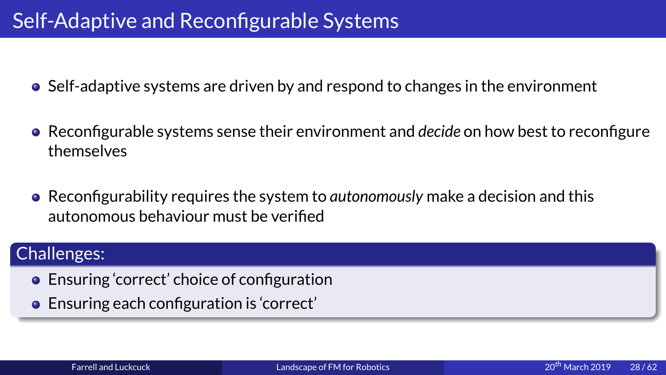- 
- Self-Adaptive and Reconfigurable Systems<br>
 Self-adaptive systems are driven by and respond to<br>
 Reconfigurable systems sense their environment a<br>
 Reconfigurability requires the system to gutonome <ul>\n<li>• Reconfigure systems sense their environment and decide on how best to reconfigure themselves</li>\n<li>• Reconfigureing variables</li>\n<li>• Reconfigureing variables</li>\n<li>• Reconfigureing variables</li>\n<li>• Reconfigureing values</li>\n<li>• Reconfigureing values</li>\n<li>• Reconfigureing values</li>\n<li>• Reconfigureing values</li>\n<li>• Reconfigureing values</li>\n<li>• Reconfigureing values</li>\n<li>• Reconfigureing values</li>\n<li>• Reconfigureing values</li>\n<li>• Reconfigureing values</li>\n<li>• Reconfigureing values</li>\n<li>• Reconfigureing values</li>\n<li>• Reconfigureing values</li>\n<li>• Reconfigureing values</li>\n<li>• Reconfigurable systems sense their environment and *decide* on how best to reconfigure<br>themselves<br>Reconfigurability requires the system to *autonomously* make a decision and this<br>autonomous behaviour must be verified<br>lleng
	- Reconfigura<br>autonomou<br>llenges:<br>Ensuring 'co Reconfigurability requires the system to *autonomously* make a decision and this<br>autonomous behaviour must be verified<br>Ilenges:<br>Ensuring 'correct' choice of configuration<br>Ensuring each configuration is 'correct'

- 
- autonomous behaviour must be verified<br>|lenges:<br>Ensuring 'correct' choice of configuratio<br>Ensuring each configuration is 'correct' O Ensuring<br>Challenges: External<br>Extreme Farrella Ensuring 'correct' choice of configuration<br>Ensuring each configuration is 'correct'<br>Farrell and Luckcuck Landscape of F Ensuring each configuration is 'correct'<br>Farrell and Luckcuck Landscape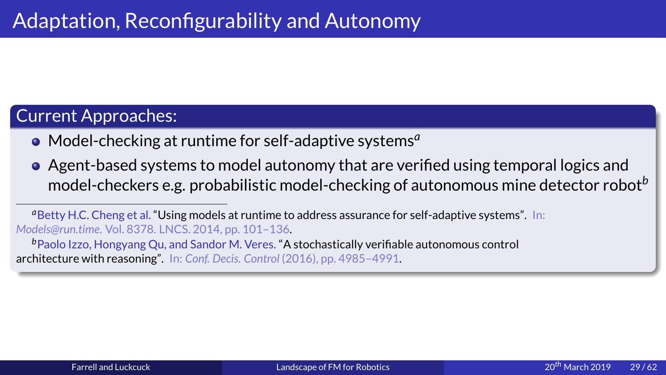- 
- Adaptation, Reconfigurability and Autonomy<br>
Current Approaches:<br>
 Model-checking at runtime for self-adaptive systems<sup>a</sup><br>
 Agent-based systems to model autonomy that are ver<br>
model-checkers e.g. probabilistic model-check • Model-checking at<br>• Agent-based syste<br>model-checkers e.g<br>• Betty H.C. Cheng et al. "Usir<br>Models@run.time. Vol. 8378. LNG<br>• Paolo Izzo, Hongyang Qu, al<br>architecture with reasoning". In Model-checking at runtime for self-adaptive systems<sup>*a*</sup><br>Agent-based systems to model autonomy that are ver<br>model-checkers e.g. probabilistic model-checking of a<br>tty H.C. Cheng et al. "Using models at runtime to address as Agent-based systems to model autonomy that are verified using temporal logics and<br>model-checkers e.g. probabilistic model-checking of autonomous mine detector rob<br>texty H.C. Cheng et al. "Using models at runtime to address

model-checkers e.g. probabilistic model-checking of autonomous mine detector robot<sup>b</sup><br>etty H.C. Cheng et al. "Using models at runtime to address assurance for self-adaptive systems". In:<br>*@run.time.* Vol. 8378. LNCS. 2014, <sup>a</sup> Betty H.C. Cheng et al. "Using models at runtime to address assurance for self-adaptive systems". In: *Models@run.time*

Els@run.time. Vol. 8378. LNCS. 2014, pp. 101–136.<br>Paolo Izzo, Hongyang Qu, and Sandor M. Veres. "A stochastically verifiable autonomous control<br>litecture with reasoning". In: Conf. Decis. Control (2016), pp. 4985–4991. **Example 1220**, Hongyang Qu, and Sandor M. Veres. "A hitecture with reasoning". In: Conf. Decis. Control (2) Paolo Izzo, Hongyang Qu, and Sandor M. Veres. "A stochastically verifiable autonomous control<br>itecture with reasoning". In: Conf. Decis. Control (2016), pp. 4985-4991.<br>The control of the stochastical property of the contro architecture with reasoning". In: *Conf. Decis. Control* (2016), pp. 4985–4991.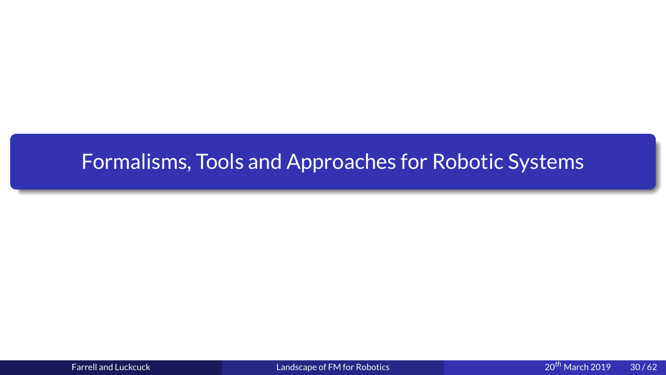# <span id="page-30-0"></span>Formalisms, Tools and Approaches for Robotic Systems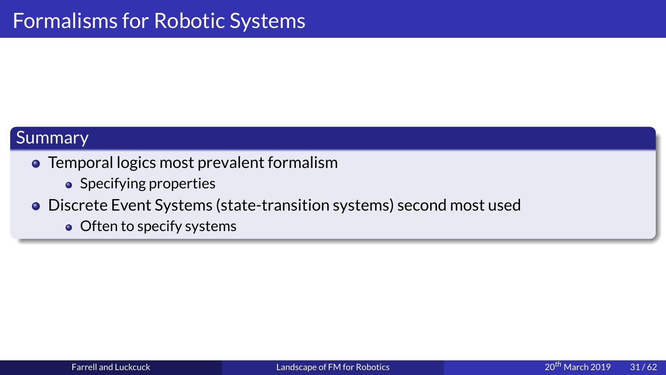- Summary<br>
 Temporal logics most prevalent forma<br>
 Specifying properties
	-
- Tempo<br>● S<br>● Discre<br>● C Specifying properties<br>
Discrete Event Systems (state-transition s<br>
Often to specify systems<br>
Often to specify systems
	- $\bullet$  Often to specify systems Often to specify systems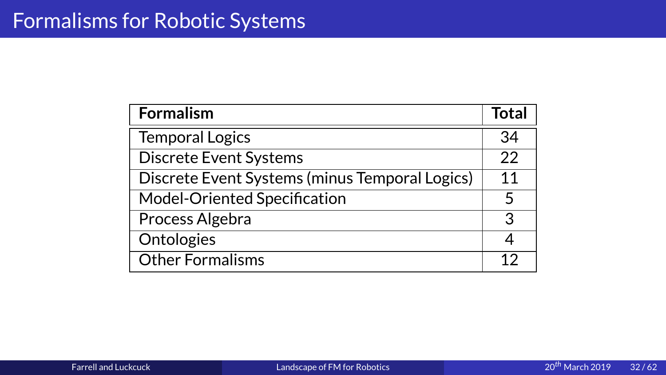| <b>Temporal Logics</b>                         | 34 |
|------------------------------------------------|----|
| <b>Discrete Event Systems</b>                  | 22 |
| Discrete Event Systems (minus Temporal Logics) | 11 |
| Model-Oriented Specification                   | 5  |
| Process Algebra                                | 3  |
| Ontologies                                     | 4  |
| <b>Other Formalisms</b>                        | 12 |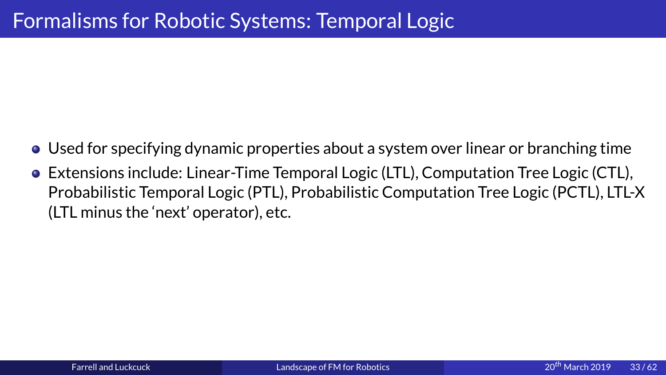- 
- Formalisms for Specifying dynamic properties about a system over<br>Formal Logic (LTL), Com<br>Probabilistic Temporal Logic (PTL), Probabilistic Computation ● Used for specifying dynamic properties about a system over linear or branching time<br>● Extensions include: Linear-Time Temporal Logic (LTL), Computation Tree Logic (CTL),<br>Probabilistic Temporal Logic (PTL), Probabilistic Probabilistic Temporal Logic (PTL), Probabilistic Computation Tree Logic (PCTL), LTL-X (LTL minus the 'next' operator), etc.<br> $\frac{1}{2}$ (LTL minus the 'next' operator), etc.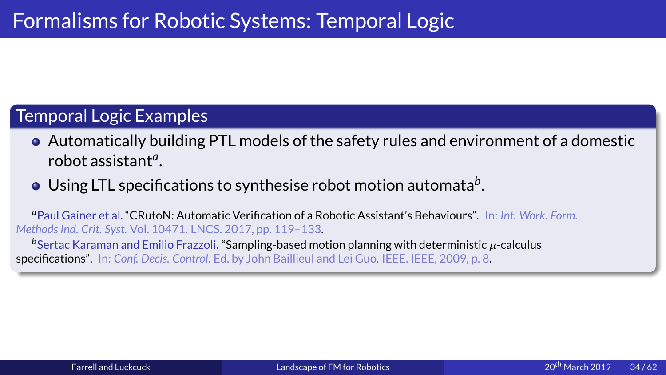- Temporal Logic Examples<br>
 Automatically building PTL models of the safety rules and e<br>
robot assistant<sup>4</sup>.<br>
 Using LTL specifications to synthesise robot motion automa • Automatically building<br>
robot assistant<sup>*a*</sup>.<br>
• Using LTL specification<br>
<sup>*a* Paul Gainer et al. "CRutoN: Autom<br> *Methods Ind. Crit. Syst.* Vol. 10471. LNe<br>
<sup>*b*</sup> Sertac Karaman and Emilio Frazzo<br>
specifications". In: C</sup>
	-

**The Sum of Automatical Sum of the safety Community Community Community Community Community Community Community Community Community Community of the safety rules Ind. Crit. Syst. Vol. 10471. LNCS. 2017, pp. 119–133.<br>
In t** a Paul Gainer et al. "CRutoN: Automatic Verification of a Robotic Assistant's Behaviours". In: Int. Work. Form. Paul Gainer et al. **"CRutoN: Automatic Verification of a Robotic Assistant's Behaviours".** In: *Int. Work. Form.*<br>hods Ind. Crit. Syst. Vol. 10471. LNCS. 2017, pp. 119–133.<br>Sertac Karaman and Emilio Frazzoli. **"Sampling-ba** *Methods Ind. Crit. Syst.*

robot assistant*a* .<br>-<br>.<br>.<br>.<br>. Using LTL specifications to synthesise robot motion automata<sup>b</sup><br>
uul Gainer et al. "CRutoN: Automatic Verification of a Robotic Assistant's Behaviours".<br> *ds Ind. Crit. Syst.* Vol. 10471. LNCS. 2017, pp. 119–133.<br>
rtac Kar .<br>.<br>.<br>. **bSertac Karaman and Emilio Frazzoli. "Sampling-based mc edifications".** In: Conf. Decis. Control. Ed. by John Baillieul a Sertac Karaman and Emilio Frazzoli. "Sampling-based motion planning with deterministic  $\mu$ -calculus<br>ifications". In: Conf. Decis. Control. Ed. by John Baillieul and Lei Guo. IEEE. IEEE, 2009, p. 8.<br>And Lei Guo. IEEE. IEE specifications". In: *Conf. Decis. Control*. Ed. by John Baillieul and Lei Guo. IEEE. IEEE, 2009, p. 8.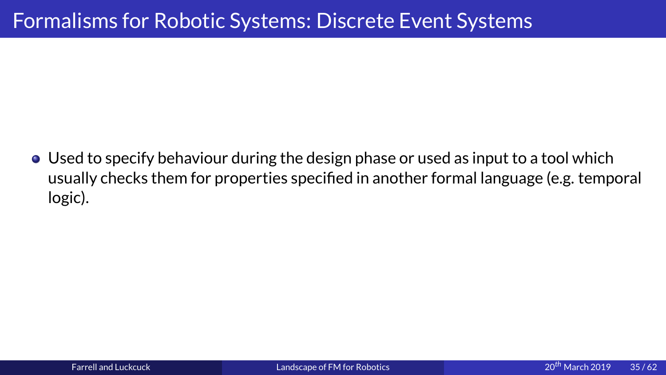Formalisms for Robotics<br>Formalisms for Piech and System in the System of Assember 2013<br>Therish for American Systems for properties specified in another formal language<br>Logic) • Used to specify behaviour during the design phase or used as input to a tool which usually checks them for properties specified in another formal language (e.g. temporal logic). usually checks them for properties specified in another formal language (e.g. temporal<br>logic).<br>comprises the properties specified in another formal language (e.g. temporal  $\overline{\phantom{a}}$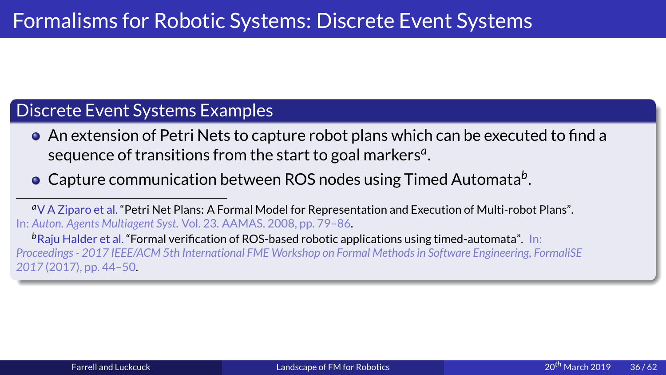- Formalism of Petri Nets to capture robot plans which can be executed<br>
the An extension of Petri Nets to capture robot plans which can be executed<br>
sequence of transitions from the start to goal markers<sup>a</sup>.<br>
 Capture commu • An extension of Petri Nets to cap<br>sequence of transitions from the<br>• Capture communication betwee<br>• VA Ziparo et al. "Petri Net Plans: A Formal Mo<br>In: Auton. Agents Multiagent Syst. Vol. 23. AAMAS. 2<br>• Raju Halder et al.
	-

<sup>a</sup>V A Ziparo et al. "Petri Net Plans: A Formal Model for Representation and Execution of Multi-robot Plans".

An extension of Petri Nets to capture robot plans which can be executed to find a<br>sequence of transitions from the start to goal markers<sup>a</sup>.<br>Capture communication between ROS nodes using Timed Automata<sup>b</sup>.<br>A Ziparo et al. sequence of transitions from the start to goal markers<sup>*a*</sup><br>Capture communication between ROS nodes using Tin<br>A Ziparo et al. "Petri Net Plans: A Formal Model for Representation and Exeon. Agents Multiagent Syst. Vol. 23. .<br>.<br>.<br>. Capture communication between ROS nodes using Timed Automata<sup>b</sup><br>A Ziparo et al. "Petri Net Plans: A Formal Model for Representation and Execution of Multi-rob<br>fon. Agents Multiagent Syst. Vol. 23. AAMAS. 2008, pp. 79–86.<br>a .<br>.<br>.<br>. V A Ziparo et al. "Formal verification of ROS-based robotic applications using timed-automata". In:<br>
<sup>b</sup>Raju Halder et al. "Formal verification of ROS-based robotic applications using timed-automata". In:<br> *Proceedings* b Raju Halder et al. "Formal verification of ROS-based robotic applications using timed-automata". In: <sup>*P*</sup>Raju Halder et al. "Formal verification of ROS-based robotic applications using timed-automata". In:<br>*Proceedings - 2017 IEEE/ACM 5th International FME Workshop on Formal Methods in Software Engineering, FormaliSE<br>201 2017*  $\mathcal{L}^{\text{max}}$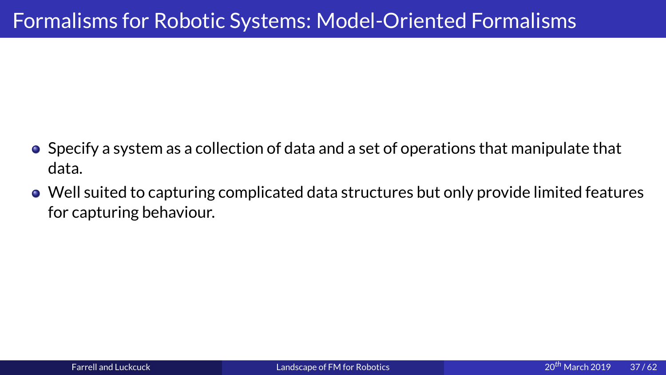- Formalisms formalisms for Specify<br>Formalism as a collection of data and a set of operations that manipular<br>Formalisms formalisms formalized for System in the United-Oriented Formalism<br>Formalisms for System in the United-Or ● Specify a system as a collection of data and a set of operations that manipulate that data.<br>
● Well suited to capturing complicated data structures but only provide limited features
	- for capturing behaviour. for capturing behaviour.<br> $\frac{1}{2}$ for capturing behaviour.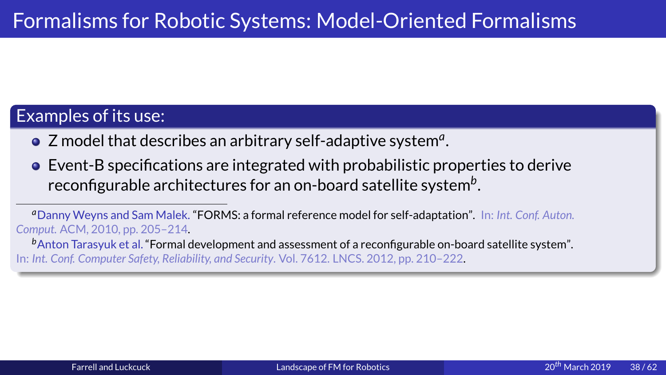- 
- Examples of its use:<br>
 Z model that describes an arbitrary self-adaptive system<sup>a</sup>.<br>
 Event-B specifications are integrated with probabilistic properties to derive<br>
reconfigurable architectures for an on-board satellite • Z model that des<br>• Event-B specifica<br>• reconfigurable at<br>• Thany Weyns and Sam M<br>Comput. ACM, 2010, pp. 205-<br>• Anton Tarasyuk et al. "Folln: Int. Conf. Computer Safety, I Z model that describes an arbitrary self-adaptive system<sup>*a*</sup><br>Event-B specifications are integrated with probabilistic preconfigurable architectures for an on-board satellite sys<br>anny Weyns and Sam Malek. "FORMS: a formal .<br>.<br>.<br>. Event-B specifications are integrated with probabilistic properties to derive<br>reconfigurable architectures for an on-board satellite system<sup>b</sup>.<br>https://www.mand.Sam Malek. "FORMS: a formal reference model for self-adaptat

**b**<br>Anton Tarasyuk et al. "Formal lnt. Conf. Computer Safety, Reliab<br>*h*<br>*b*<br>*Anton Computer Safety, Reliab* Anton Tarasyuk et al. "Formal development and assessment of a reconfigurable on-board satellite system".<br>ht. Conf. Computer Safety, Reliability, and Security. Vol. 7612. LNCS. 2012, pp. 210–222.<br>Note: Conf. Computer Safety In: *Int. Conf. Computer Safety, Reliability, and Security*. Vol. 7612. LNCS. 2012, pp. 210–222.

reconfigurable architectures for an on-board satellite system<sup>b</sup><br>anny Weyns and Sam Malek. "FORMS: a formal reference model for self-adaptation".<br>*t.t.* ACM, 2010, pp. 205–214.<br>ton Tarasyuk et al. "Formal development and a . **a** Danny Weyns and Sam Malek. "FORMS: a formal reference model for self-adaptation". In: Int. Conf. Auton. Danny Weyns and Sam Malek. **"FORMS: a formal reference model for self-adaptation".** In: *Int. Conf. Auton.*<br>put. ACM, 2010, pp. 205–214.<br>Anton Tarasyuk et al. **"Formal development and assessment of a reconfigurable on-boar** *Comput.*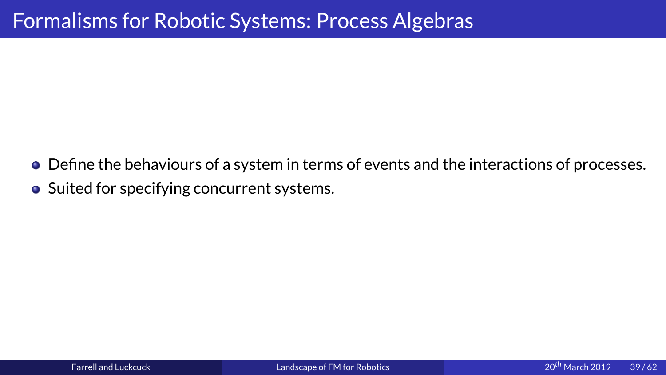- Formalisms for Robotics<br>Formalisms for Algebras for Algebras Algebra<br>Formalisms Conceptions: Process Algebras<br>Systems: Process Algebras Algebras<br>Systems: Process Algebras Algebras Algebras<br>Systems: Process Algebras Algebra Define the behaviours of a system in terms of events and the interactions of processes.<br>Suited for specifying concurrent systems.<br>.
	- Suited for specifying concurrent systems.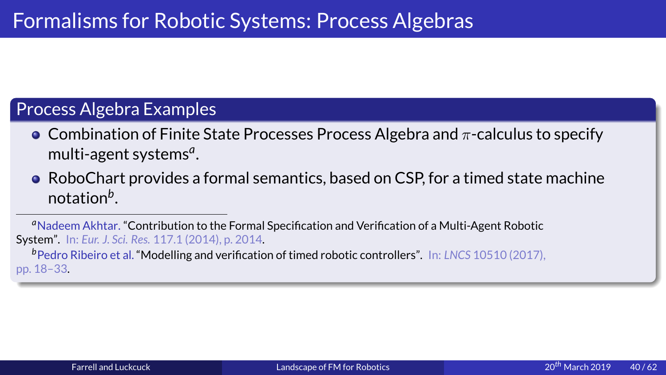- Process Algebra Examples<br>
 Combination of Finite State Processes Process Algebra and  $\pi$ -<br>
multi-agent systems<sup>4</sup>.<br>
 RoboChart provides a formal semantics, based on CSP, for a ti • Combination of Finite St<br>
multi-agent systems<sup>*a*</sup>.<br>
• RoboChart provides a fo<br>
notation<sup>b</sup>.<br>
<sup>*a*</sup>Nadeem Akhtar. "Contribution to the System". In: Eur. J. Sci. Res. 117.1 (2014
- **Combination of Finite State Processes Process Algebra and π-calculus to specify<br>multi-agent systems<sup>***a***</sup>.<br><b>• RoboChart provides a formal semantics**, based on CSP, for a timed state machine<br>notation<sup>*b*</sup>.<br><sup>*a*Nadeem Ak</sup> multi-agent systems*<sup>a</sup>* .<br>.<br>.<br>.

notation<sup>b</sup>.<br>
Adeem Akhtar. "Contribution to the Formal Specification and Verification of a Multi-Agent Robotic<br>
n". In: *Eur. J. Sci. Res.* 117.1 (2014), p. 2014.<br>
Adro Ribeiro et al. "Modelling and verification of timed notation<sup>b</sup><br>adeem Akhta<br>n". In: Eur. J. :<br>edro Ribeiro e<br>-33. .<br>.<br>.<br>. a Nadeem Akhtar. "Contribution to the Formal Specification and Verification of a Multi-Agent Robotic <sup>a</sup>Nadeem Akhtar. "Contribution to the Formal Specification and Verification of a Multi-Agent Robotic System". In: *Eur. J. Sci. Res.* 117.1 (2014), p. 2014.<br><sup>b</sup>Pedro Ribeiro et al. "Modelling and verification of timed rob

*b*Pedro Ribeiro et al. "Modelling and verification of timed robotic controllers". In: *LNCS* 10510 (2017), pp. 18–33.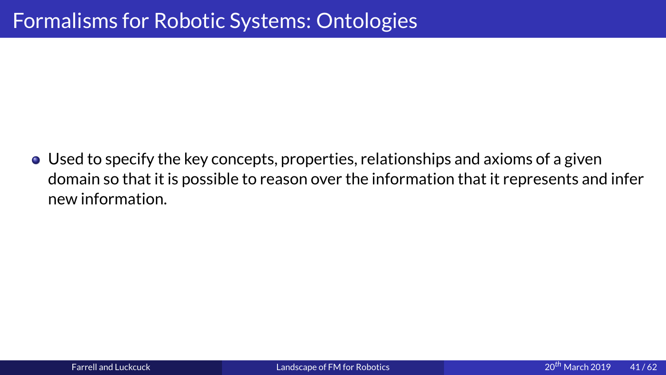Formalisms for Robots<br>Formalisms for Robots for Robots<br>Formalisms formation<br>intermation • Used to specify the key concepts, properties, relationships and axioms of a given<br>domain so that it is possible to reason over the information that it represents and infer<br>new information. domain so that it is possible to reason over the information that it represents and it represents and inferred<br>it represents and inferred inferred inferred inferred inferred inferred inferred in the inferred inferred in<br>th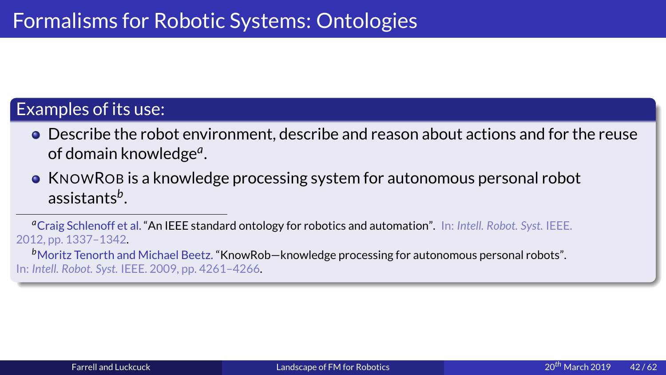- Examples of its use:<br>
 Describe the robot environment, describe and reason<br>
of domain knowledge<sup>a</sup>.<br>
 KNOWROB is a knowledge processing system for auto • Describe the rob<br>
of domain knowle<br>
• KNOWROB is a kn<br>
assistants<sup>b</sup>.<br>  ${}^a$ Craig Schlenoff et al. "An<br>
2012, pp. 1337–1342.<br>  ${}^b$ Moritz Tenorth and Mich
- **OF COMMORT STATE THEORY CONSUMPEDE ASSESS AND REGRISHERE:**<br> **OF CONSUMPORT ASSES AND ASSESS AND REFULLARE STATES:**<br> **OF CONSUMPORT AND REFULLARE STATES:**<br> **OF CONSUMPORT AND REFULLARE STATES:**<br> **OF CONSUMPORT AND FORT AN** of domain knowledge<sup>a</sup><br>KNOWROB is a knowle<br>assistants<sup>b</sup>.<br>Taig Schlenoff et al. "An IEEE stapp. 1337-1342.<br>The Michael Beet al."<br>Ell. Robot. Syst. IEEE. 2009, pp. 4 .<br>.<br>.<br>.<br>.<br>.

assistants<sup>b</sup>.<br>Craig Schlenoff et al. "An IEEE standard ontology for robotics and automation". In: *Intell. Robot. Syst.* IEEE.<br>2, pp. 1337–1342.<br>Moritz Tenorth and Michael Beetz. "KnowRob—knowledge processing for autonomo **assistants<sup>b</sup>**<br>raig Schlenoff e<br>pp. 1337–1342<br>oritz Tenorth a<br>ell. Robot. Syst. 1  $\frac{1}{2}$  t  $\frac{1}{2}$  in  $\frac{1}{2}$ a Craig Schlenoff et al. "An IEEE standard ontology for robotics and automation". In: Intell. Robot. Syst. IEEE.

**b** Moritz Tenorth and the Moritz Tenorth and the U. Robot. Syst. If Moritz Tenner, Michael Beetz. "Known", "Known", "Know", "Know", "Know", "Know", "Know", "Know", "Know", "Know"<br>"Know", "Know", "Know", "Know", "Know", "Know", "Know", "Know", "Know", "Know", "Know", "Know", "Know", "Know"<br> In: *Intell. Robot. Syst.* IEEE. 2009, pp. 4261–4266.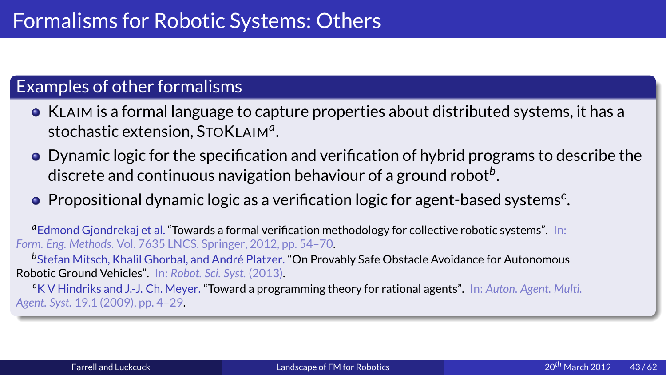- 
- Examples of other formalisms<br>
 KLAIM is a formal language to capture properties<br>
stochastic extension, STOKLAIM<sup>a</sup>.<br>
 Dynamic logic for the specification and verification<br>
discrete and continuous navigation behaviour of • KLAIM is a formal language t<br>stochastic extension, STOKL<br>• Dynamic logic for the specificaliscrete and continuous nav<br>• Propositional dynamic logic Substration of hybrid programs to describe the<br> **O** Dynamic logic for the specification and verification of hybrid programs to describe the<br>
discrete and continuous navigation behaviour of a ground robot<sup>b</sup>.<br>
• Propositio stochastic extension, STOKLAIM<sup>a</sup><br>Dynamic logic for the specificatic<br>discrete and continuous navigati<br>Propositional dynamic logic as a<br>mond Gjondrekaj et al. "Towards a formal ve<br>Eng. Methods. Vol. 7635 LNCS. Springer, 201 .<br>.<br>.<br>.<br>. Dynamic logic for the specification and verification of hybrid programs to describe the<br>discrete and continuous navigation behaviour of a ground robot<sup>b</sup>.<br>Propositional dynamic logic as a verification logic for agent-based
	-

discrete and continuous navigation behaviour of a ground robot<sup>b</sup><br>Propositional dynamic logic as a verification logic for agent-based<br>Imond Gjondrekaj et al. "Towards a formal verification methodology for collective roboti .<br>.<br>.<br>. Propositional dynamic logic as a verification logic for agent-based systems<sup>c</sup><br>Imond Gjondrekaj et al. "Towards a formal verification methodology for collective robotic systems". In:<br>Fing. Methods. Vol. 7635 LNCS. Springer .<br>.<br>. a Edmond Giondrekai et al. "Towards a formal verification methodology for collective robotic systems". In: Edmond Gjondrekaj et al. "Towards a formal verification methodology for collective robotic systems". In:<br>1. Eng. Methods. Vol. 7635 LNCS. Springer, 2012, pp. 54–70.<br>Stefan Mitsch, Khalil Ghorbal, and André Platzer. "On Pro *Form. Eng. Methods*

**Example 15 Example 15 And André Platzer. "On Prov**<br>**botic Ground Vehicles"**. In: Robot. Sci. Syst. (2013).<br><sup>C</sup>K V Hindriks and J.-J. Ch. Meyer. **"Toward a programming the Platter 15 Syst.** 19.1 (2009), pp. 4–29. otic Ground Vehicles". In: Robot. Sci. Syst. (2013).<br>K V Hindriks and J.-J. Ch. Meyer. "Toward a programming theory for rational agents". In: Auton. Agent. Mu<br>t. Syst. 19.1 (2009), pp. 4–29. Robotic Ground Vehicles". In: *Robot. Sci. Syst.* (201[3\).](#page-0-0)<br>
"K V Hindriks and J.-J. Ch. Meyer. "Toward a programming theory for ra<br>
Agent. Syst. 19.1 (2009), pp. 4–29.<br>
Farrell and Luckcuck Landscape of FM for Robotics *c*K V Hindriks and J.-J. Ch. Meyer. "Toward a programming theory for rational agents". In: *Auton. Agent. Multi. Agent. Syst.*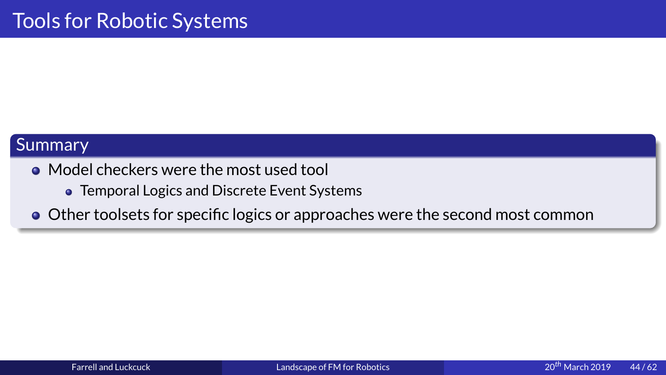- Summary<br>
 Model checkers were the mo<br>
 Temporal Logics and Discre
	-
- Mode<br>• Tr<br>• Other • Temporal Logics and Discrete Event Systems<br>Other toolsets for specific logics or approaches<br>of the most used to approach of the most used to approach of the most set of the most set of the most set of the most set of the Other toolsets for specific logics or approaches were the second most common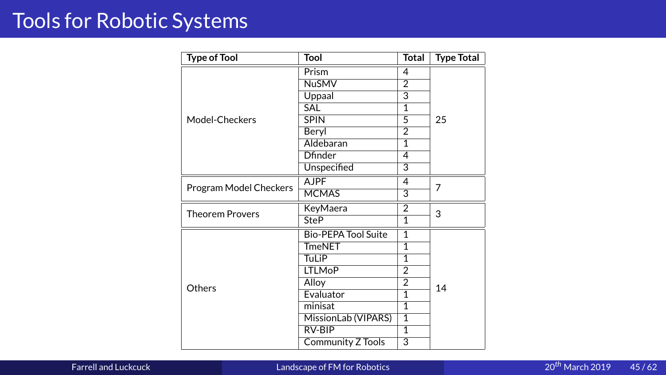| <b>Type of Tool</b> | <b>Tool</b>                                                                  | <b>Total</b>                                                                                                                                                                                 | <b>Type Total</b>                                                                                                                                                   |
|---------------------|------------------------------------------------------------------------------|----------------------------------------------------------------------------------------------------------------------------------------------------------------------------------------------|---------------------------------------------------------------------------------------------------------------------------------------------------------------------|
|                     | Prism                                                                        | $\overline{4}$                                                                                                                                                                               |                                                                                                                                                                     |
|                     |                                                                              |                                                                                                                                                                                              |                                                                                                                                                                     |
|                     |                                                                              |                                                                                                                                                                                              |                                                                                                                                                                     |
|                     |                                                                              |                                                                                                                                                                                              |                                                                                                                                                                     |
|                     |                                                                              |                                                                                                                                                                                              |                                                                                                                                                                     |
|                     |                                                                              |                                                                                                                                                                                              | 25                                                                                                                                                                  |
|                     |                                                                              |                                                                                                                                                                                              |                                                                                                                                                                     |
|                     |                                                                              |                                                                                                                                                                                              |                                                                                                                                                                     |
|                     |                                                                              |                                                                                                                                                                                              |                                                                                                                                                                     |
|                     |                                                                              |                                                                                                                                                                                              |                                                                                                                                                                     |
|                     |                                                                              |                                                                                                                                                                                              | $\overline{7}$                                                                                                                                                      |
|                     |                                                                              |                                                                                                                                                                                              |                                                                                                                                                                     |
|                     | <b>KeyMaera</b>                                                              | $\overline{2}$                                                                                                                                                                               | 3                                                                                                                                                                   |
|                     | <b>SteP</b>                                                                  | $\overline{1}$                                                                                                                                                                               |                                                                                                                                                                     |
|                     | <b>Bio-PEPA Tool Suite</b>                                                   | $\overline{1}$                                                                                                                                                                               |                                                                                                                                                                     |
|                     | <b>TmeNET</b>                                                                | $\overline{1}$                                                                                                                                                                               |                                                                                                                                                                     |
|                     | <b>TuLiP</b>                                                                 | $\overline{1}$                                                                                                                                                                               |                                                                                                                                                                     |
|                     | <b>LTLMoP</b>                                                                | $\overline{2}$                                                                                                                                                                               |                                                                                                                                                                     |
|                     | Alloy                                                                        | $\overline{2}$                                                                                                                                                                               |                                                                                                                                                                     |
|                     | Evaluator                                                                    | $\overline{1}$                                                                                                                                                                               | 14                                                                                                                                                                  |
|                     | minisat                                                                      | $\overline{1}$                                                                                                                                                                               |                                                                                                                                                                     |
|                     |                                                                              | $\overline{1}$                                                                                                                                                                               |                                                                                                                                                                     |
|                     | RV-BIP                                                                       | $\overline{1}$                                                                                                                                                                               |                                                                                                                                                                     |
|                     |                                                                              | $\overline{3}$                                                                                                                                                                               |                                                                                                                                                                     |
|                     |                                                                              |                                                                                                                                                                                              |                                                                                                                                                                     |
|                     | Landscape of FM for Robotics                                                 |                                                                                                                                                                                              |                                                                                                                                                                     |
|                     | Model-Checkers<br>Program Model Checkers<br><b>Theorem Provers</b><br>Others | <b>NuSMV</b><br>Uppaal<br><b>SAL</b><br><b>SPIN</b><br>Beryl<br>Aldebaran<br><b>Dfinder</b><br>Unspecified<br><b>AJPF</b><br><b>MCMAS</b><br>MissionLab (VIPARS)<br><b>Community Z Tools</b> | $\overline{2}$<br>$\overline{3}$<br>$\overline{1}$<br>$\overline{5}$<br>$\overline{2}$<br>$\overline{1}$<br>$\overline{4}$<br>3<br>$\overline{4}$<br>$\overline{3}$ |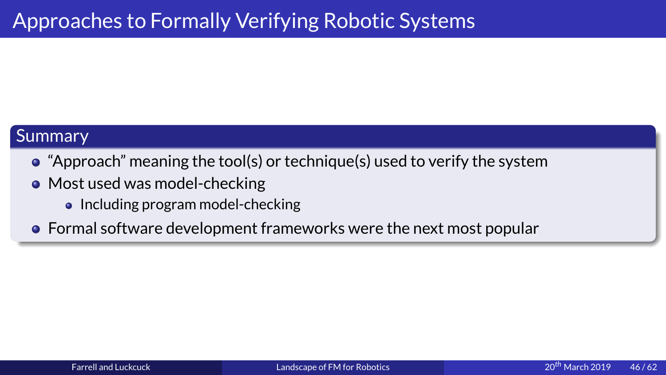- Approach<sup>2</sup> meaning the tool(s) or technique(s) used to verify to Most used was model-checking
	- -
- "Appre"<br>● Most<br>● Ir<br>● Forma "Approximated was model-checking"<br>"Approximated the toolcol(s) or technique (s) or technique (s) or technique (s) or technique(s) or technique(s) or technique(s) systems for the system of the system of the system of the sy • Including program model-checking<br>Formal software development frame<br> Formal software development frameworks were the next most popular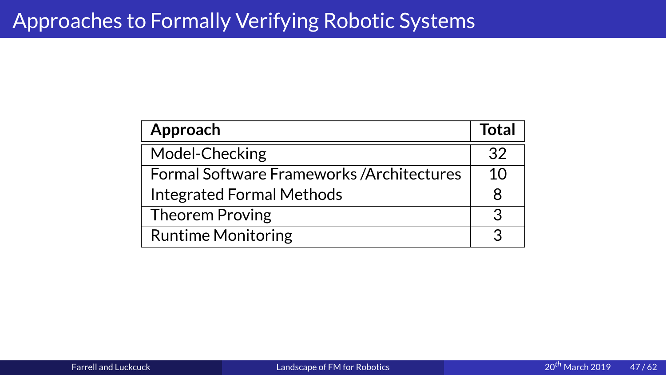| Model-Checking                             |    |
|--------------------------------------------|----|
|                                            | 32 |
| Formal Software Frameworks / Architectures | 10 |
| <b>Integrated Formal Methods</b>           | 8  |
| Theorem Proving                            | 3  |
| <b>Runtime Monitoring</b>                  | 3  |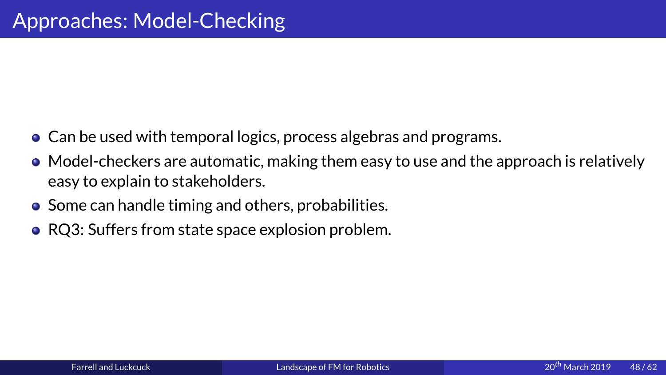- 
- 4<br>
 Can be used with temporal logics,<br>
 Model-checkers are automatic, ma<br>
easy to explain to stakeholders. ● Can be used with temporal logics, process algebras and programs.<br>● Model-checkers are automatic, making them easy to use and the approach is relatively easy to explain to stakeholders. easy to explain to stakeholders.<br>Some can handle timing and others, probabilities.<br>RQ3: Suffers from state space explosion problem.
	- $\bullet$  Some can handle timing and others, probabilities.
	- $\bullet$  RQ3: Suffers from state space explosion problem. RQ3: Suffers from state space e[xplosion problem.](#page-0-0)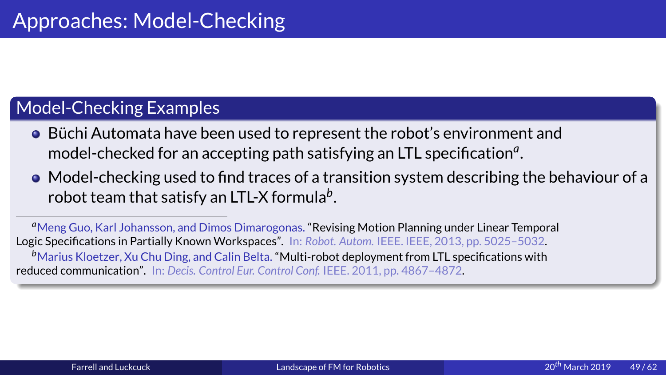- Model-Checking Examples<br>
 Büchi Automata have been used to<br>
model-checked for an accepting pa<br>
 Model-checking used to find trace<br>
robot team that satisfy an LTL-X for • Büchi Automata have bee<br>
model-checked for an acc<br>
• Model-checking used to<br>
robot team that satisfy and Dim<br>  $\frac{a_{\text{Meng Guo, Karl Johansson, and Dim}}{b_{\text{Maring Kugino}}}}$ ■ Büchi Automata have been used to represent the robot's environment and<br>
model-checked for an accepting path satisfying an LTL specification<sup>a</sup>.<br>
■ Model-checking used to find traces of a transition system describing th
	- robot team that satisfy an LTL-X formula*<sup>b</sup>*

model-checked for an accepting path satisfying an LTL specification<sup>*a*</sup><br>Model-checking used to find traces of a transition system describing<br>robot team that satisfy an LTL-X formula<sup>b</sup>.<br>Then g Guo, Karl Johansson, and Dim .<br>5<br>.<br>. Model-checking used to find traces of a transition system describing the behaviour of a<br>robot team that satisfy an LTL-X formula<sup>b</sup>.<br>eng Guo, Karl Johansson, and Dimos Dimarogonas. "Revising Motion Planning under Linear Te .<br>.<br>.<br>.<br>. a Meng Guo, Karl Johansson, and Dimos Dimarogonas. "Revising Motion Planning under Linear Temporal c Specifications in Partially Known Workspaces". In: Robot. Autom. IEEE. IEEE, 2013, pp. 5025–5032.<br>Marius Kloetzer, Xu Chu Ding, and Calin Belta. "Multi-robot deployment from LTL specifications with<br>ticed communication". Logic Specifications in Partially Known Workspaces". In: *Robot. Autom.* IEEE. IEEE, 2013, pp. 5025–5032. *b*Marius Kloetzer, Xu Chu Ding, and Calin Belta. "Multi-robot deployment from LTL specifications with<br>uced communication". In: *Decis. Control Eur. Control Conf.* IEEE. 2011, pp. 4867–4872.<br>Acced communication". In: *Decis.* reduced communication". In: *Decis. Control Eur. Control Conf.* [IEEE. 2011, pp](#page-0-0). 4867–4872.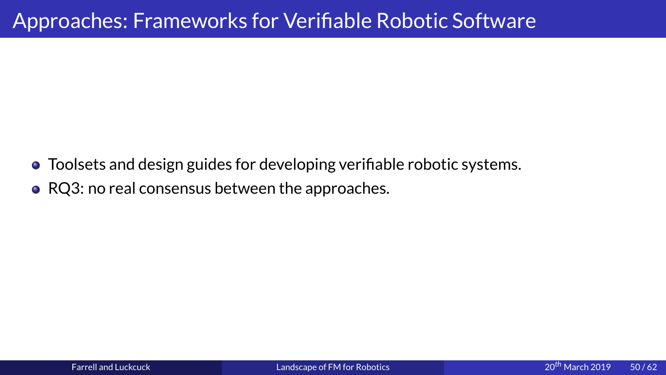# Approaches: Frameworks for Verifiable Robotic Software<br>• Toolsets and design guides for developing verifiable robotic systems.<br>• RQ3: no real consensus between the approaches.

- Toolsets and design guides for developing verifiable robotic systems.
- RQ3: no real consensus between the approaches.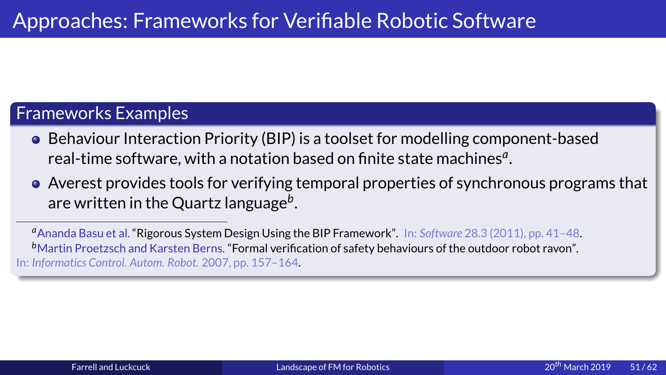- Approaches: Frameworks for Verifiable Robotic Software<br>
Frameworks Examples<br>
 Behaviour Interaction Priority (BIP) is a toolset for modelling compone<br>
real-time software, with a notation based on finite state machines<sup>*a</sup>* • Behaviour Interaction Priority (BIP) is a toolset for modelling component-based real-time software, with a notation based on finite state machines<sup>*a*</sup>.
	- are written in the Quartz language*<sup>b</sup>*

real-time software, with a notation based on finite state machines<sup>*a*</sup>.<br>Averest provides tools for verifying temporal properties of synchronous programe written in the Quartz language<sup>b</sup>.<br>nanda Basu et al. "Rigorous Syste .<br>.<br>.<br>. are written in the Quartz language<sup>b</sup>.<br>
handa Basu et al. "Rigorous System Design Using the BIP Framework". In: Software 28.3 (2011), pp. 41–48.<br>
artin Proetzsch and Karsten Berns. "Formal verification of safety behaviours .<br>.<br>.<br>. *a*Ananda Basu et al. "Rigorous System Design Using the BIP Framework". In: *Software* 28.3 (2011), pp. 41–48.<br><sup>b</sup>Martin Proetzsch and Karsten Berns. "Formal verification of safety behaviours of the outdoor robot ravon".<br>I <sup>b</sup>Martin Proetzsch and Karsten Berns. "Formal verification of safety behaviours of the outdoor robot ravon". Martin Proetzsch and Karsten Berns. "Formal verification of safety behaviours of the outdoor robot ravon".<br> *nformatics Control. Autom. Robot.* 2007, pp. 157–164.<br>
<u>Normatics Control.</u><br>
Autom. Robot. 2007, pp. 157–164. In: *Informatics Control. Autom. Robot.* 2007, pp. 157–164.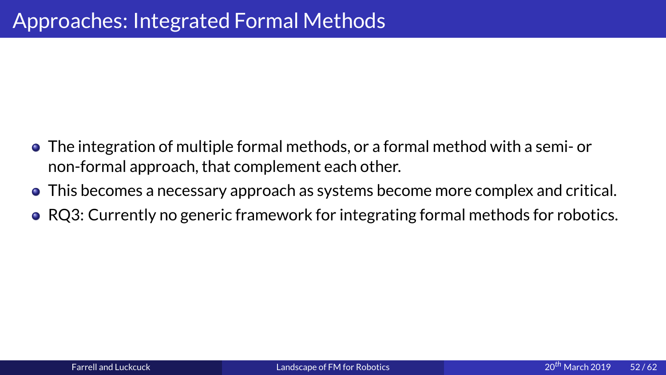- The integration of multiple formal methods, or a formal approach, that complement each other <br>• This becomes a necessary approach as systems b non-formal approach, that complement each other.<br>This becomes a necessary approach as systems become more complex and criti<br>RQ3: Currently no generic framework for integrating formal methods for robo<br>Q3: Currently no gener
	-
	- This becomes a necessary approach as systems bec<br>RQ3: Currently no generic framework for integrati RQ3: Currently no generic framework for integrating formal methods for robotics. RQ3: Currently no generic framework for integrating formal methods for robotics.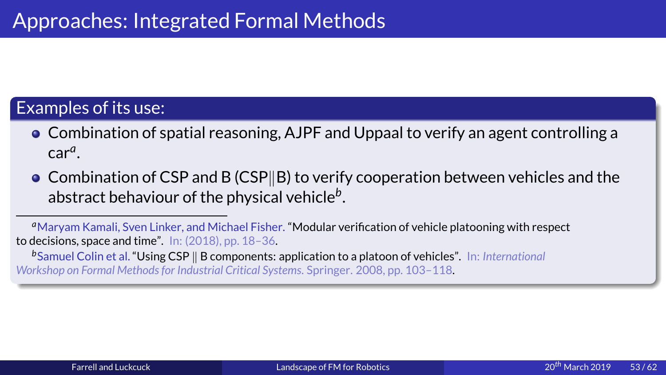- Examples of its use:<br>
 Combination of spatial reasoning, AJPF and Uppacar<sup>9</sup>.<br>
 Combination of CSP and B (CSP||B) to verify coop
- **Combination of s**<br>
car<sup>a</sup>.<br>
 Combination of C<br>
abstract behavio<br>  $\frac{a_{\text{Maryam Kanali, Sven Lin}}}{\text{Recosus (Spirata) (i) mata (ii) }}$ • Combination of spatial reasoning, AJPF and Uppaal to verify an agent controlling a<br>
car<sup>a</sup>.<br>
• Combination of CSP and B (CSP||B) to verify cooperation between vehicles and the<br>
abstract behaviour of the physical vehicle car<sup>a</sup><br>Con<br>abst<br>aryan<br>isions<br>muel<br>hop or ר<br>... |<br>| ייר Combination of CSP and B (CSP||B) to verify cooperation between vehicles and the abstract behaviour of the physical vehicle<sup>b</sup>.<br>
aryam Kamali, Sven Linker, and Michael Fisher. "Modular verification of vehicle platooning w abstract behaviour of the physical vehicle*<sup>b</sup>*

.<br>.<br>.<br>. <sup>a</sup> Marvam Kamali. Sven Linker, and Michael Fisher. "Modular verification of vehicle platooning with respect Maryam Kamali, Sven Linker, and Michael Fisher. "Modular verification of vehicle platooning with respect<br>ecisions, space and time". In: (2018), pp. 18–36.<br>Samuel Colin et al. "Using CSP || B components: application to a pl

**b**Samuel Colin et al. "Using CSP || B components: application to a platoon of vehicles". In: *International*<br>Workshop on Formal Methods for Industrial Critical Systems. Springer. 2008, pp. 103–118.<br> **b**Samuel Colin et al. *Workshop on Formal Methods for Industrial Critical Systems*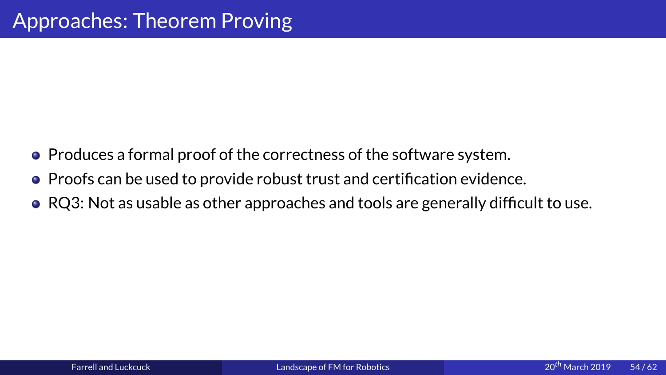- Approaches:<br>
 Produces a formal proof of the corr<br>
 Proofs can be used to provide robus • Produces a formal proof of the correctness of the software system.<br>• Proofs can be used to provide robust trust and certification evidence.
	-
	- $\bullet$  RQ3: Not as usable as other approaches and tools are generally difficult to use. RQ3: Not as usable as other approaches and tools are generally difficult to use.<br><br><br>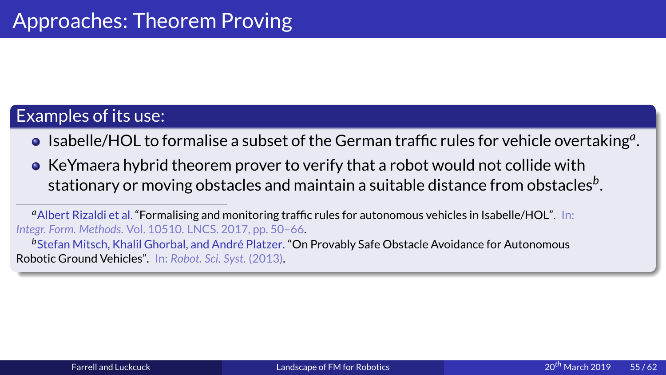- .
- Examples of its use:<br>
 Isabelle/HOL to formalise a subset<br>
 KeYmaera hybrid theorem prover theorem stationary or moving obstacles and • Isabelle/HOL to t<br>• KeYmaera hybric<br>stationary or move<br>albert Rizaldi et al. "Form<br>Integr. Form. Methods. Vol. 105<br>b Stefan Mitsch, Khalil Gho<br>Robotic Ground Vehicles". In **Isabelle/HOL to formalise a subset of the German traffic rules for vehicle overtaking<sup>a</sup>.<br>
<b>Is a KeYmaera hybrid theorem prover to verify that a robot would not collide with**<br> **Intagrity of the German is a suitable dista** .

<sup>a</sup> Albert Rizaldi et al. "Formalising and monitoring traffic rules for autonomous vehicles in Isabelle/HOL". In: *Integr. Form. Methods*

stationary or moving obstacles and maintain a suitable distance from obstacles<sup>b</sup><br>bert Rizaldi et al. "Formalising and monitoring traffic rules for autonomous vehicles in Isabelle/HOL". In:<br>Form. Methods. Vol. 10510. LNCS. Albert Rizaldi et al. "Formalising and monitoring traffic rules for autonomous vehicles in Isabelle/HOL". In:<br>gr. Form. Methods. Vol. 10510. LNCS. 2017, pp. 50–66.<br>Stefan Mitsch, Khalil Ghorbal, and André Platzer. "On Prov *b*<br>Stefan Mitsch, Khalil Ghorbal, and André Platzer. "Or<br>botic Ground Vehicles". In: Robot. Sci. Syst. (2013).<br> Stefan Mitsch, Khalil Ghorbal, and Andre Platzer. ´ "On Provably Safe Obstacle Avoidance for Autonomous Robotic Ground Vehicles". In: *Robot. Sci. Syst.* (2013).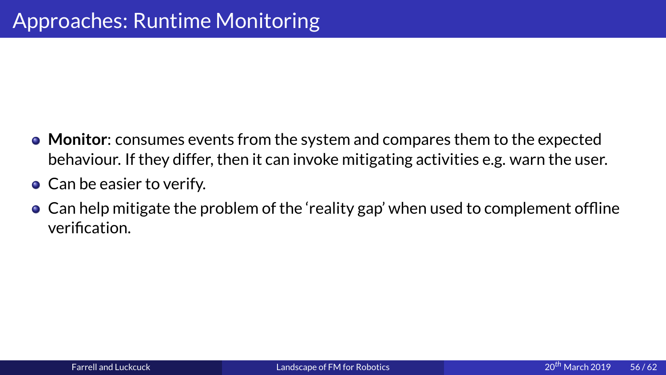- Monitor: consumes events from the systechaviour. If they differ, then it can invertors and the easier to verify. • Monitor: consumes events from the system and compares them to the expected
	-
	- ur. If they differ, then it can invoke mitigating activities e.g. warn the user<br>asier to verify.<br>pointigate the problem of the 'reality gap' when used to complement offli<br>ion. Can be easier to verify.<br>Can help mitigate the problem of the 'reality gap' when used to complement offlir<br>verification. Can help mitigate the p<br>verification.<br> $\frac{1}{2}$ Can help mitigate the problem of the 'reality gap' when used to complement offline<br>verification.<br>cerification. verification.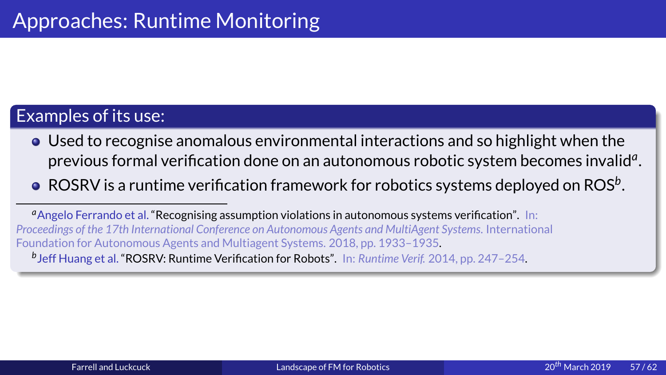- Examples of its use:<br>
 Used to recognise anomalous environm<br>
previous formal verification done on an<br>
 ROSRV is a runtime verification framew <ul>\n<li>❑ Use d to recognize anomalous environmental interactions and so highlight when the previous formal verification done on an autonomous robotic system becomes invalid<sup>a</sup>.</li>\n<li>❑ ROSRV is a runtime verification framework for robotics systems deployed on ROS<sup>b</sup>.</li>\n<li>❑ <sup>a</sup>Angelo Ferrando et al. "Recognising assumption violations in autonomous systems verification". In: <i>Proceedings of the 17th International Conference on Automonus Agents and Multiagent Systems. International Foundation for Automomous A^{eents}</i> and Multiagent Systems. 2018, pp. 1933–1935.</li>\n</ul> .
	- .

• Used to recognis<br>previous formal<br>• ROSRV is a runtil<br>• *Angelo Ferrando et al.* "Reproceedings of the 17th Internation for Autonomous by beff Huang et al. "ROSRV: previous formal verification done on an autonomous robotic system becomes invalid<sup>a</sup><br>ROSRV is a runtime verification framework for robotics systems deployed on ROS<sup>b</sup>.<br><sub>Igelo</sub> Ferrando et al. "Recognising assumption violat ROSRV is a runtime verification framework for robotics systems deployed on ROS<sup>b</sup><br>ngelo Ferrando et al. "Recognising assumption violations in autonomous systems verification". In:<br>dings of the 17th International Conference a Angelo Ferrando et al. "Recognising assumption violations in autonomous systems verification". In: Angelo Ferrando et al. "Recognising assumption violations in autonomous systems verification". In:<br>eedings of the 17th International Conference on Autonomous Agents and MultiAgent Systems. Internatio<br>ndation for Autonomous *Proceedings of the 17th International Conference on Autonomous Agents and MultiAgent Systems* $247 - 254.$ *b* Jeff Huang et al. "ROSRV: Runtime Verification for Robots". In: *Runtime Verif.* 2014, pp. 247–254.<br> *b* Jeff Huang et al. "ROSRV: Runtime Verification for Robots". In: *Runtime Verif.* 2014, pp. 247–254.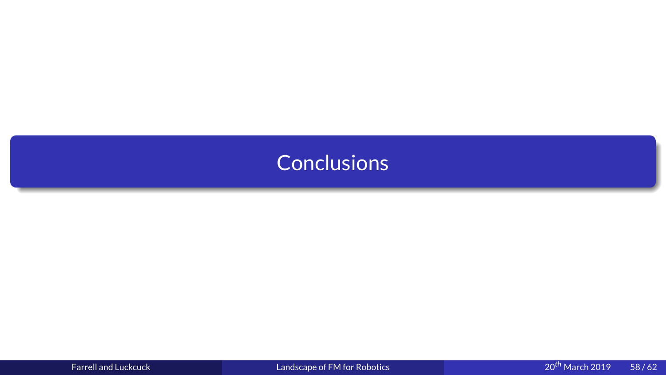<span id="page-58-0"></span>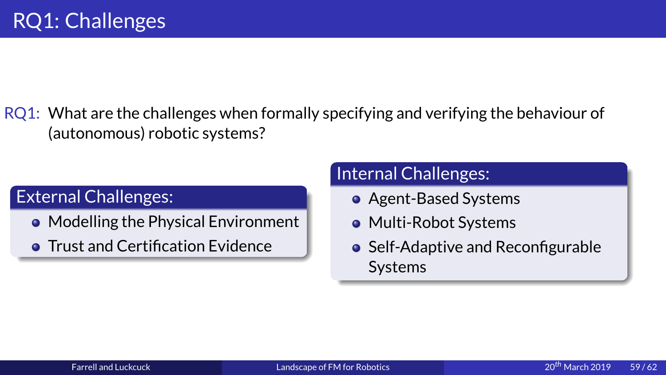Randon<br>
(autonomous) rol<br>
Fyternal Challenges External Challenges:<br>
• Modelling the Physical Environment<br>
• Multi-Robot Systems<br>
• Trust and Certification Evidence<br>
• Self-Adantive and Reconfigurable

- External Challenges:<br>
 Modelling the Physical Environment<br>
 Trust and Certification Evidence
- Modelling the Phy<br>• Trust and Certifica Trust and Certification Evidence Trust and Certification Evidence<br>Express and Luckcuck<br>Farrell and Luckcuck

- 
- 
- Agent-Based Syst<br>• Multi-Robot Syst<br>• Self-Adaptive and<br>Systems Multi-Robot Systems<br>Self-Adaptive and Rec<br>Systems Self-Adaptive and Res<br>Systems<br>The Systems [Self](#page-0-0)-Adaptive and Reconfigurable<br>Systems<br><sub>botics</sub> and and a co<sup>th</sup> March 20<sup>th</sup> March 20 systems<br>botics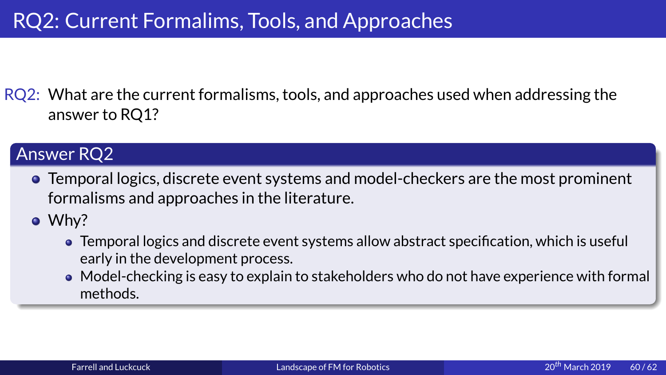Research<br>
RQ2: What are the current formalisms, tools, and approaches us<br>
answer to RQ1?<br> **Answer RQ2**<br>
• Temporal logics, discrete event systems and model-checke<br>
formalisms and approaches in the literature

- FRQ2:<br>
The current formal logics, discrete event systems and model-checkers are the most promine<br>
formalisms and approaches in the literature.<br>
 Why? wer RQ2<br>Temporal logics,<br>formalisms and<br>Why?<br>• Temporal log • Temporal<br>formalism<br>• Why?<br>• Temp<br>early<br>• Mode<br>meth
	-
- The interacture of the literature.<br>Temporal logics and discrete event systems allow abstract specification, which is useful<br>early in the development process.<br>• Model-checking is easy to explain to stakeholders who do not h Why?<br>
• Temporal logics and discrete event systems<br>
early in the development process.<br>
• Model-checking is easy to explain to stakeh<br>
methods.
	- $\begin{array}{c}\n\bullet \\
	\bullet \\
	\bullet \\
	\end{array}$ Temporal logics and discrete e[vent systems allow](#page-0-0) abstract specification, which is useful<br>early in the development process.<br>Model-checking is easy to explain to stakeholders who do not have experience with for<br>methods. Model-checking is easy to explain<br>methods.<br>Firell and Luckcuck Land Model-checking is easy to explain to the checking is easy to experiment to state the checking is easy to experience with formal to start and Luckcuck and Luckcuck and Luckcuck and Luckcuck and Luckcuck and Luckcuck and Luc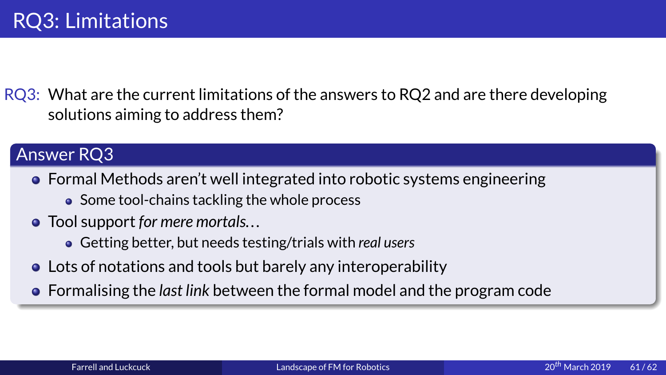Example 19 and the curve of the curve of the curve of the curve of the curve of the control of the control of the control of the control of the control of the control of the control of the control of the control of the co Solutions aiming to address them?<br>
Answer RQ3<br>
• Formal Methods aren't well integrated into robotic systems engineering<br>
• Some tool-chains tackling the whole process<br>
• Tool support for mere mortals...

- Answer RQ3<br>
 Formal Methods aren't well integrated into robotic systems engineering<br>
 Some tool-chains tackling the whole process<br>
 Tool support for mere mortals...<br>
 Getting better, but needs testing/trials with real
	-
	- -
	- support for mere mortals...<br>Getting better, but needs testing/trials with a<br>of notations and tools but barely any interalising the *last link* between the formal n Tool support *for mere mortals...*<br>• Getting better, but needs tesplots of notations and tools but<br>Formalising the *last link* betwee Getting better, but needs testi[ng/trials with](#page-0-0) *real users*<br>of notations and tools but barely any interoperal<br>nalising the *last link* between the formal model an
- Formal M<br>• Some<br>• Tool supp<br>• Getti<br>• Lots of no<br>• Formalisi ● Some tool-chains tackling the whole process<br>
Tool support for mere mortals...<br>
● Getting better, but needs testing/trials with real users<br>
Lots of notations and tools but barely any interoperability<br>
Formalising the *la* Formalising the *last link* between the formal model and the<br>Farrell and Luckcuck<br>Examples of FM for Robotics Formalising the *last link* between the formal model and the program code<br>Farrell and Luckcuck Landscape of FM for Robotics